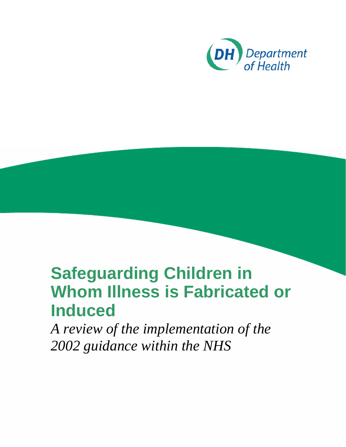

# **Safeguarding Children in Whom Illness is Fabricated or Induced**

*A review of the implementation of the 2002 guidance within the NHS*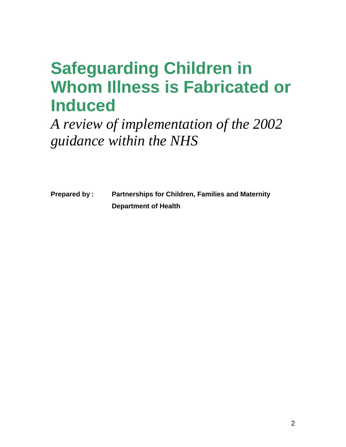# **Safeguarding Children in Whom Illness is Fabricated or Induced**

*A review of implementation of the 2002 guidance within the NHS*

**Prepared by : Partnerships for Children, Families and Maternity Department of Health**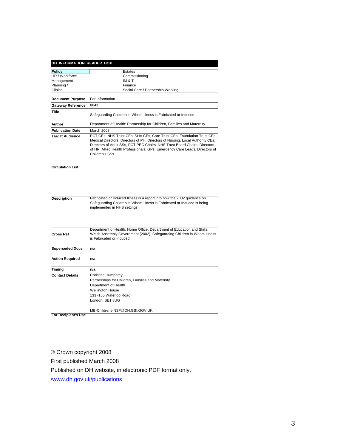| DH INFORMATION READER BOX |                                                                                                                                                                                                                                                                                                                                       |  |  |
|---------------------------|---------------------------------------------------------------------------------------------------------------------------------------------------------------------------------------------------------------------------------------------------------------------------------------------------------------------------------------|--|--|
| <b>Policy</b>             | Estates                                                                                                                                                                                                                                                                                                                               |  |  |
| HR / Workforce            | Commissioning                                                                                                                                                                                                                                                                                                                         |  |  |
| Management                | IM & T                                                                                                                                                                                                                                                                                                                                |  |  |
| Planning /                | Finance                                                                                                                                                                                                                                                                                                                               |  |  |
| Clinical                  | Social Care / Partnership Working                                                                                                                                                                                                                                                                                                     |  |  |
|                           |                                                                                                                                                                                                                                                                                                                                       |  |  |
| <b>Document Purpose</b>   | For Information                                                                                                                                                                                                                                                                                                                       |  |  |
| <b>Gateway Reference</b>  | 8641                                                                                                                                                                                                                                                                                                                                  |  |  |
| Title                     | Safeguarding Children in Whom Illness is Fabricated or Induced                                                                                                                                                                                                                                                                        |  |  |
| Author                    | Department of Health: Partnership for Children, Families and Maternity                                                                                                                                                                                                                                                                |  |  |
| <b>Publication Date</b>   | March 2008                                                                                                                                                                                                                                                                                                                            |  |  |
| <b>Target Audience</b>    | PCT CEs, NHS Trust CEs, SHA CEs, Care Trust CEs, Foundation Trust CEs<br>Medical Directors, Directors of PH, Directors of Nursing, Local Authority CEs,<br>Directors of Adult SSs, PCT PEC Chairs, NHS Trust Board Chairs, Directors<br>of HR, Allied Health Professionals, GPs, Emergency Care Leads, Directors of<br>Children's SSs |  |  |
| <b>Circulation List</b>   |                                                                                                                                                                                                                                                                                                                                       |  |  |
| <b>Description</b>        | Fabricated or Induced Illness is a report into how the 2002 guidance on<br>Safeguarding Children in Whom Illness is Fabricated or Induced is being<br>implemented in NHS settings.                                                                                                                                                    |  |  |
| <b>Cross Ref</b>          | Department of Health, Home Office, Department of Education and Skills,<br>Welsh Assembly Government (2002). Safeguarding Children in Whom Illness<br>is Fabricated or Induced.                                                                                                                                                        |  |  |
| <b>Superseded Docs</b>    | n/a                                                                                                                                                                                                                                                                                                                                   |  |  |
| <b>Action Required</b>    | n/a                                                                                                                                                                                                                                                                                                                                   |  |  |
| Timing                    | n/a                                                                                                                                                                                                                                                                                                                                   |  |  |
| <b>Contact Details</b>    | <b>Christine Humphrey</b>                                                                                                                                                                                                                                                                                                             |  |  |
|                           | Partnerships for Children, Families and Maternity                                                                                                                                                                                                                                                                                     |  |  |
|                           | Department of Health                                                                                                                                                                                                                                                                                                                  |  |  |
|                           | <b>Wellington House</b>                                                                                                                                                                                                                                                                                                               |  |  |
|                           | 133 -155 Waterloo Road                                                                                                                                                                                                                                                                                                                |  |  |
|                           | London, SE1 8UG                                                                                                                                                                                                                                                                                                                       |  |  |
|                           | MB-Childrens-NSF@DH.GSI.GOV.UK                                                                                                                                                                                                                                                                                                        |  |  |
| For Recipient's Use       |                                                                                                                                                                                                                                                                                                                                       |  |  |
|                           |                                                                                                                                                                                                                                                                                                                                       |  |  |

© Crown copyright 2008

First published March 2008

Published on DH website, in electronic PDF format only.

[/www.dh.gov.uk/publications](http://www.dh.gov.uk/publications)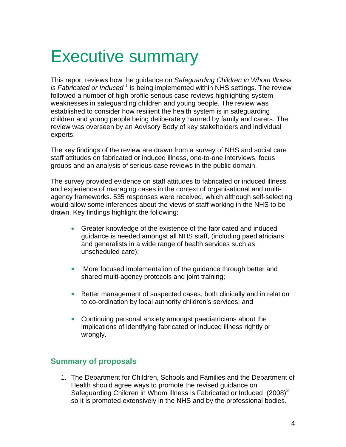# Executive summary

This report reviews how the guidance on *Safeguarding Children in Whom Illness is Fabricated or Induced*<sup>1</sup> is being implemented within NHS settings. The review followed a number of high profile serious case reviews highlighting system weaknesses in safeguarding children and young people. The review was established to consider how resilient the health system is in safeguarding children and young people being deliberately harmed by family and carers. The review was overseen by an Advisory Body of key stakeholders and individual experts.

The key findings of the review are drawn from a survey of NHS and social care staff attitudes on fabricated or induced illness, one-to-one interviews, focus groups and an analysis of serious case reviews in the public domain.

The survey provided evidence on staff attitudes to fabricated or induced illness and experience of managing cases in the context of organisational and multiagency frameworks. 535 responses were received, which although self-selecting would allow some inferences about the views of staff working in the NHS to be drawn. Key findings highlight the following:

- Greater knowledge of the existence of the fabricated and induced guidance is needed amongst all NHS staff, (including paediatricians and generalists in a wide range of health services such as unscheduled care);
- More focused implementation of the guidance through better and shared multi-agency protocols and joint training;
- Better management of suspected cases, both clinically and in relation to co-ordination by local authority children's services; and
- Continuing personal anxiety amongst paediatricians about the implications of identifying fabricated or induced illness rightly or wrongly.

## **Summary of proposals**

1. The Department for Children, Schools and Families and the Department of Health should agree ways to promote the revised guidance on Safeguarding Children in Whom Illness is Fabricated or Induced  $(2008)^3$ so it is promoted extensively in the NHS and by the professional bodies.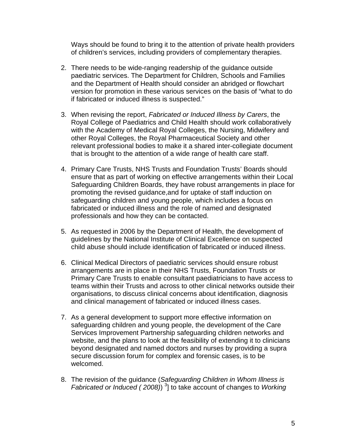Ways should be found to bring it to the attention of private health providers of children's services, including providers of complementary therapies.

- 2. There needs to be wide-ranging readership of the guidance outside paediatric services. The Department for Children, Schools and Families and the Department of Health should consider an abridged or flowchart version for promotion in these various services on the basis of "what to do if fabricated or induced illness is suspected."
- 3. When revising the report, *Fabricated or Induced Illness by Carers*, the Royal College of Paediatrics and Child Health should work collaboratively with the Academy of Medical Royal Colleges, the Nursing, Midwifery and other Royal Colleges, the Royal Pharmaceutical Society and other relevant professional bodies to make it a shared inter-collegiate document that is brought to the attention of a wide range of health care staff.
- 4. Primary Care Trusts, NHS Trusts and Foundation Trusts' Boards should ensure that as part of working on effective arrangements within their Local Safeguarding Children Boards, they have robust arrangements in place for promoting the revised guidance,and for uptake of staff induction on safeguarding children and young people, which includes a focus on fabricated or induced illness and the role of named and designated professionals and how they can be contacted.
- 5. As requested in 2006 by the Department of Health, the development of guidelines by the National Institute of Clinical Excellence on suspected child abuse should include identification of fabricated or induced illness.
- 6. Clinical Medical Directors of paediatric services should ensure robust arrangements are in place in their NHS Trusts, Foundation Trusts or Primary Care Trusts to enable consultant paediatricians to have access to teams within their Trusts and across to other clinical networks outside their organisations, to discuss clinical concerns about identification, diagnosis and clinical management of fabricated or induced illness cases.
- 7. As a general development to support more effective information on safeguarding children and young people, the development of the Care Services Improvement Partnership safeguarding children networks and website, and the plans to look at the feasibility of extending it to clinicians beyond designated and named doctors and nurses by providing a supra secure discussion forum for complex and forensic cases, is to be welcomed.
- 8. The revision of the guidance (*Safeguarding Children in Whom Illness is Fabricated or Induced (2008)*)<sup>3</sup> to take account of changes to *Working*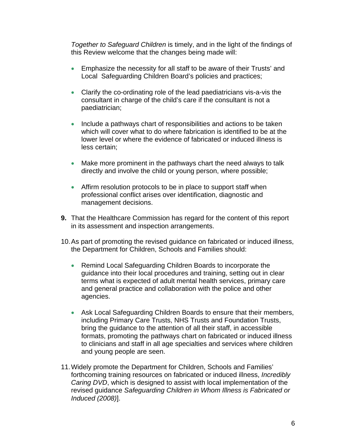*Together to Safeguard Children* is timely, and in the light of the findings of this Review welcome that the changes being made will:

- Emphasize the necessity for all staff to be aware of their Trusts' and Local Safeguarding Children Board's policies and practices;
- Clarify the co-ordinating role of the lead paediatricians vis-a-vis the consultant in charge of the child's care if the consultant is not a paediatrician;
- Include a pathways chart of responsibilities and actions to be taken which will cover what to do where fabrication is identified to be at the lower level or where the evidence of fabricated or induced illness is less certain;
- Make more prominent in the pathways chart the need always to talk directly and involve the child or young person, where possible;
- Affirm resolution protocols to be in place to support staff when professional conflict arises over identification, diagnostic and management decisions.
- **9.** That the Healthcare Commission has regard for the content of this report in its assessment and inspection arrangements.
- 10. As part of promoting the revised guidance on fabricated or induced illness, the Department for Children, Schools and Families should:
	- Remind Local Safeguarding Children Boards to incorporate the guidance into their local procedures and training, setting out in clear terms what is expected of adult mental health services, primary care and general practice and collaboration with the police and other agencies.
	- Ask Local Safeguarding Children Boards to ensure that their members, including Primary Care Trusts, NHS Trusts and Foundation Trusts, bring the guidance to the attention of all their staff, in accessible formats, promoting the pathways chart on fabricated or induced illness to clinicians and staff in all age specialties and services where children and young people are seen.
- 11. Widely promote the Department for Children, Schools and Families' forthcoming training resources on fabricated or induced illness, *Incredibly Caring DVD*, which is designed to assist with local implementation of the revised guidance *Safeguarding Children in Whom Illness is Fabricated or Induced (2008)*].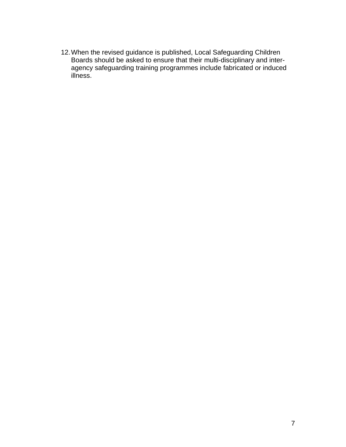12. When the revised guidance is published, Local Safeguarding Children Boards should be asked to ensure that their multi-disciplinary and interagency safeguarding training programmes include fabricated or induced illness.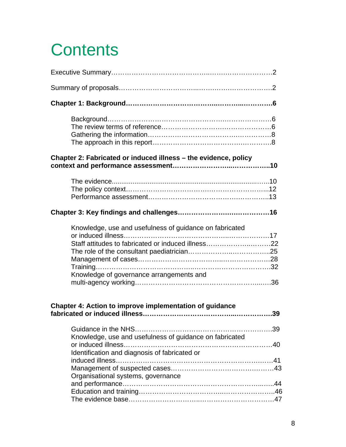# **Contents**

| Chapter 2: Fabricated or induced illness – the evidence, policy                                                                                           |
|-----------------------------------------------------------------------------------------------------------------------------------------------------------|
|                                                                                                                                                           |
|                                                                                                                                                           |
| Knowledge, use and usefulness of guidance on fabricated<br>Staff attitudes to fabricated or induced illness22<br>Knowledge of governance arrangements and |
| Chapter 4: Action to improve implementation of guidance                                                                                                   |
| Knowledge, use and usefulness of guidance on fabricated<br>Identification and diagnosis of fabricated or<br>Organisational systems, governance            |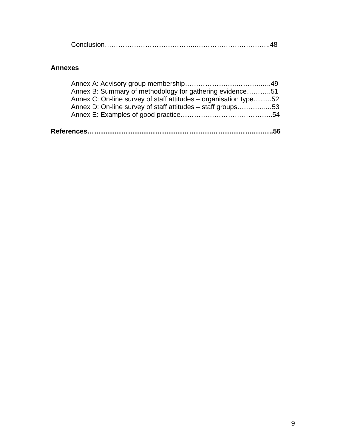|--|--|

### **Annexes**

| Annex B: Summary of methodology for gathering evidence51         |  |
|------------------------------------------------------------------|--|
| Annex C: On-line survey of staff attitudes – organisation type52 |  |
| Annex D: On-line survey of staff attitudes – staff groups53      |  |
|                                                                  |  |
|                                                                  |  |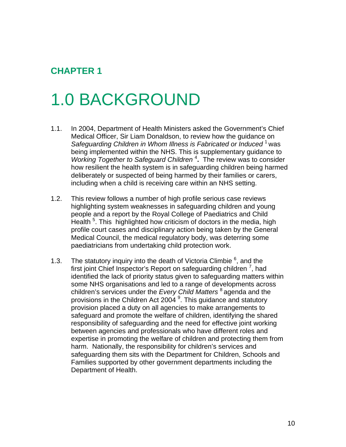# **CHAPTER 1**

# 1.0 BACKGROUND

- 1.1. In 2004, Department of Health Ministers asked the Government's Chief Medical Officer, Sir Liam Donaldson, to review how the guidance on *Safeguarding Children in Whom Illness is Fabricated or Induced* 1 was being implemented within the NHS. This is supplementary guidance to Working Together to Safeguard Children<sup>4</sup>. The review was to consider how resilient the health system is in safeguarding children being harmed deliberately or suspected of being harmed by their families or carers, including when a child is receiving care within an NHS setting.
- 1.2. This review follows a number of high profile serious case reviews highlighting system weaknesses in safeguarding children and young people and a report by the Royal College of Paediatrics and Child Health <sup>5</sup>. This highlighted how criticism of doctors in the media, high profile court cases and disciplinary action being taken by the General Medical Council, the medical regulatory body, was deterring some paediatricians from undertaking child protection work.
- 1.3. The statutory inquiry into the death of Victoria Climbie  $6$ , and the first joint Chief Inspector's Report on safeguarding children  $^7$ , had identified the lack of priority status given to safeguarding matters within some NHS organisations and led to a range of developments across children's services under the *Every Child Matters* 8 agenda and the provisions in the Children Act 2004<sup>9</sup>. This guidance and statutory provision placed a duty on all agencies to make arrangements to safeguard and promote the welfare of children, identifying the shared responsibility of safeguarding and the need for effective joint working between agencies and professionals who have different roles and expertise in promoting the welfare of children and protecting them from harm. Nationally, the responsibility for children's services and safeguarding them sits with the Department for Children, Schools and Families supported by other government departments including the Department of Health.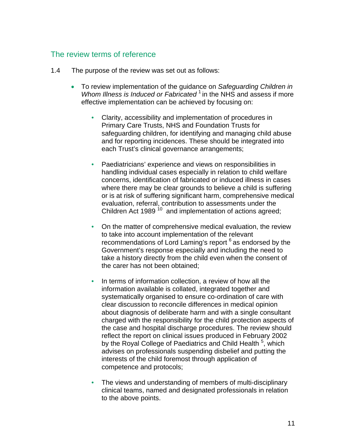#### The review terms of reference

- 1.4 The purpose of the review was set out as follows:
	- To review implementation of the guidance on *Safeguarding Children in Whom Illness is Induced or Fabricated*<sup>1</sup> in the NHS and assess if more effective implementation can be achieved by focusing on:
		- **•** Clarity, accessibility and implementation of procedures in Primary Care Trusts, NHS and Foundation Trusts for safeguarding children, for identifying and managing child abuse and for reporting incidences. These should be integrated into each Trust's clinical governance arrangements;
		- **•** Paediatricians' experience and views on responsibilities in handling individual cases especially in relation to child welfare concerns, identification of fabricated or induced illness in cases where there may be clear grounds to believe a child is suffering or is at risk of suffering significant harm, comprehensive medical evaluation, referral, contribution to assessments under the Children Act 1989 $10$  and implementation of actions agreed;
		- **•** On the matter of comprehensive medical evaluation, the review to take into account implementation of the relevant recommendations of Lord Laming's report <sup>6</sup> as endorsed by the Government's response especially and including the need to take a history directly from the child even when the consent of the carer has not been obtained;
		- **•** In terms of information collection, a review of how all the information available is collated, integrated together and systematically organised to ensure co-ordination of care with clear discussion to reconcile differences in medical opinion about diagnosis of deliberate harm and with a single consultant charged with the responsibility for the child protection aspects of the case and hospital discharge procedures. The review should reflect the report on clinical issues produced in February 2002 by the Royal College of Paediatrics and Child Health <sup>5</sup>, which advises on professionals suspending disbelief and putting the interests of the child foremost through application of competence and protocols;
		- **•** The views and understanding of members of multi-disciplinary clinical teams, named and designated professionals in relation to the above points.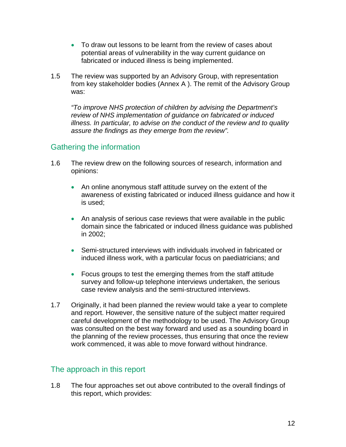- To draw out lessons to be learnt from the review of cases about potential areas of vulnerability in the way current guidance on fabricated or induced illness is being implemented.
- 1.5 The review was supported by an Advisory Group, with representation from key stakeholder bodies (Annex A ). The remit of the Advisory Group was:

*"To improve NHS protection of children by advising the Department's review of NHS implementation of guidance on fabricated or induced illness. In particular, to advise on the conduct of the review and to quality assure the findings as they emerge from the review".* 

# Gathering the information

- 1.6 The review drew on the following sources of research, information and opinions:
	- An online anonymous staff attitude survey on the extent of the awareness of existing fabricated or induced illness guidance and how it is used;
	- An analysis of serious case reviews that were available in the public domain since the fabricated or induced illness guidance was published in 2002;
	- Semi-structured interviews with individuals involved in fabricated or induced illness work, with a particular focus on paediatricians; and
	- Focus groups to test the emerging themes from the staff attitude survey and follow-up telephone interviews undertaken, the serious case review analysis and the semi-structured interviews.
- 1.7 Originally, it had been planned the review would take a year to complete and report. However, the sensitive nature of the subject matter required careful development of the methodology to be used. The Advisory Group was consulted on the best way forward and used as a sounding board in the planning of the review processes, thus ensuring that once the review work commenced, it was able to move forward without hindrance.

## The approach in this report

1.8 The four approaches set out above contributed to the overall findings of this report, which provides: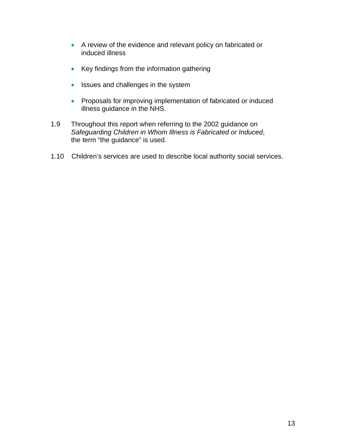- A review of the evidence and relevant policy on fabricated or induced illness
- Key findings from the information gathering
- Issues and challenges in the system
- Proposals for improving implementation of fabricated or induced illness guidance in the NHS.
- 1.9 Throughout this report when referring to the 2002 guidance on *Safeguarding Children in Whom Illness is Fabricated or Induced*, the term "the guidance" is used.
- 1.10 Children's services are used to describe local authority social services.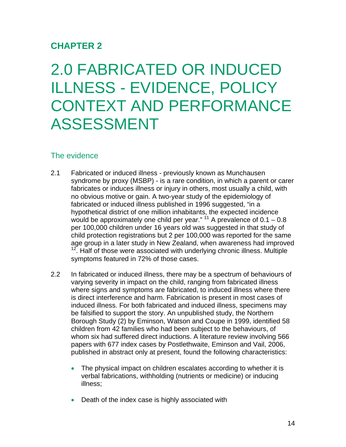# **CHAPTER 2**

# 2.0 FABRICATED OR INDUCED ILLNESS - EVIDENCE, POLICY CONTEXT AND PERFORMANCE ASSESSMENT

### The evidence

- 2.1 syndrome by proxy (MSBP) - is a rare condition, in which a parent or carer fabricates or induces illness or injury in others, most usually a child, with  $12$ . Half of those were associated with underlying chronic illness. Multiple Fabricated or induced illness - previously known as Munchausen no obvious motive or gain. A two-year study of the epidemiology of fabricated or induced illness published in 1996 suggested, "in a hypothetical district of one million inhabitants, the expected incidence would be approximately one child per year."  $11$  A prevalence of  $0.1 - 0.8$ per 100,000 children under 16 years old was suggested in that study of child protection registrations but 2 per 100,000 was reported for the same age group in a later study in New Zealand, when awareness had improved symptoms featured in 72% of those cases.
- 2.2 In fabricated or induced illness, there may be a spectrum of behaviours of varying severity in impact on the child, ranging from fabricated illness where signs and symptoms are fabricated, to induced illness where there is direct interference and harm. Fabrication is present in most cases of induced illness. For both fabricated and induced illness, specimens may be falsified to support the story. An unpublished study, the Northern Borough Study (2) by Eminson, Watson and Coupe in 1999, identified 58 children from 42 families who had been subject to the behaviours, of whom six had suffered direct inductions. A literature review involving 566 papers with 677 index cases by Postlethwaite, Eminson and Vail, 2006, published in abstract only at present, found the following characteristics:
	- verbal fabrications, withholding (nutrients or medicine) or inducing The physical impact on children escalates according to whether it is illness;
	- Death of the index case is highly associated with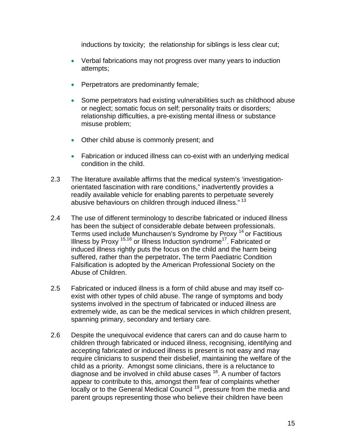inductions by toxicity; the relationship for siblings is less clear cut;

- Verbal fabrications may not progress over many years to induction attempts;
- Perpetrators are predominantly female; •
- Some perpetrators had existing vulnerabilities such as childhood abuse relationship difficulties, a pre-existing mental illness or substance misuse problem; or neglect; somatic focus on self; personality traits or disorders;
- Other child abuse is commonly present; and
- Fabrication or induced illness can co-exist with an underlying medical condition in the child.
- 2.3 The literature available affirms that the medical system's 'investigationreadily available vehicle for enabling parents to perpetuate severely abusive behaviours on children through induced illness."<sup>13</sup> orientated fascination with rare conditions," inadvertently provides a
- 2.4 The use of different terminology to describe fabricated or induced illness Terms used include Munchausen's Syndrome by Proxy <sup>14</sup> or Factitious Falsification is adopted by the American Professional Society on the has been the subject of considerable debate between professionals. Illness by Proxy  $15,16$  or Illness Induction syndrome<sup>17</sup>. Fabricated or induced illness rightly puts the focus on the child and the harm being suffered, rather than the perpetrator**.** The term Paediatric Condition Abuse of Children.
- 2.5 extremely wide, as can be the medical services in which children present, Fabricated or induced illness is a form of child abuse and may itself coexist with other types of child abuse. The range of symptoms and body systems involved in the spectrum of fabricated or induced illness are spanning primary, secondary and tertiary care.
- 2.6 require clinicians to suspend their disbelief, maintaining the welfare of the locally or to the General Medical Council<sup>19</sup>, pressure from the media and Despite the unequivocal evidence that carers can and do cause harm to children through fabricated or induced illness, recognising, identifying and accepting fabricated or induced illness is present is not easy and may child as a priority. Amongst some clinicians, there is a reluctance to diagnose and be involved in child abuse cases  $18$ . A number of factors appear to contribute to this, amongst them fear of complaints whether parent groups representing those who believe their children have been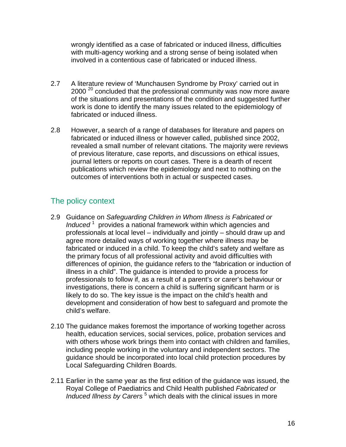wrongly identified as a case of fabricated or induced illness, difficulties with multi-agency working and a strong sense of being isolated when involved in a contentious case of fabricated or induced illness.

- 2.7 of the situations and presentations of the condition and suggested further work is done to identify the many issues related to the epidemiology of fabricated or induced illness. A literature review of 'Munchausen Syndrome by Proxy' carried out in 2000<sup>20</sup> concluded that the professional community was now more aware
- 2.8 revealed a small number of relevant citations. The majority were reviews , of previous literature, case reports, and discussions on ethical issues publications which review the epidemiology and next to nothing on the outcomes of interventions both in actual or suspected cases. However, a search of a range of databases for literature and papers on fabricated or induced illness or however called, published since 2002, journal letters or reports on court cases. There is a dearth of recent

## The policy context

- 2.9 Guidance on *Safeguarding Children in Whom Illness is Fabricated or* professionals at local level – individually and jointly – should draw up and fabricated or induced in a child. To keep the child's safety and welfare as differences of opinion, the guidance refers to the "fabrication or induction of investigations, there is concern a child is suffering significant harm or is development and consideration of how best to safeguard and promote the child's welfare. *Induced* 1 provides a national framework within which agencies and agree more detailed ways of working together where illness may be the primary focus of all professional activity and avoid difficulties with illness in a child". The guidance is intended to provide a process for professionals to follow if, as a result of a parent's or carer's behaviour or likely to do so. The key issue is the impact on the child's health and
- 2.10 The guidance makes foremost the importance of working together across with others whose work brings them into contact with children and families, guidance should be incorporated into local child protection procedures by Local Safeguarding Children Boards. health, education services, social services, police, probation services and including people working in the voluntary and independent sectors. The
- 2.11 Earlier in the same year as the first edition of the guidance was issued, the Royal College of Paediatrics and Child Health published *Fabricated or Induced Illness by Carers*<sup>5</sup> which deals with the clinical issues in more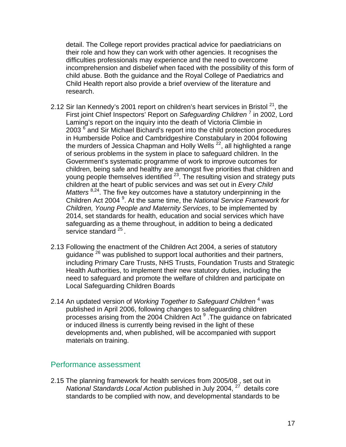detail. The College report provides practical advice for paediatricians on their role and how they can work with other agencies. It recognises th e difficulties professionals may experience and the need to overcome incomprehension and disbelief when faced with the possibility of this form of child abuse. Both the guidance and the Royal College of Paediatrics a nd Child Healt h report also provide a brief overview of the literature and research.

- 2.12 Sir Ian Kennedy's 2001 report on children's heart services in Bristol  $^{21}$ , the First joint Chief Inspectors' Report on Safeguarding Children<sup>7</sup> in 2002, Lord the murders of Jessica Chapman and Holly Wells<sup>22</sup>, all highlighted a range young people themselves identified  $^{23}$ . The resulting vision and strategy puts Children Act 2004<sup>9</sup>. At the same time, the *National Service Framework for* 2014, set standards for health, education and social services which have safeguarding as a theme throughout, in addition to being a dedicated service standard <sup>25</sup>. Laming's report on the inquiry into the death of Victoria Climbie in 2003 <sup>6</sup> and Sir Michael Bichard's report into the child protection procedures in Humberside Police and Cambridgeshire Constabulary in 2004 following of serious problems in the system in place to safeguard children. In the Government's systematic programme of work to improve outcomes for children, being safe and healthy are amongst five priorities that children and children at the heart of public services and was set out in *Every Child Matters* <sup>8,24</sup>. The five key outcomes have a statutory underpinning in the *Children, Young People and Maternity Services*, to be implemented by
- 2.13 Following the enactment of the Children Act 2004, a series of statutory including Primary Care Trusts, NHS Trusts, Foundation Trusts and Strategic need to safeguard and promote the welfare of children and participate on Local Safeguarding Children Boards guidance<sup>26</sup> was published to support local authorities and their partners, Health Authorities, to implement their new statutory duties, including the
- 2.14 An updated version of *Working Together to Safeguard Children*<sup>4</sup> was processes arising from the 2004 Children Act <sup>9</sup> . The guidance on fabricated developments and, when published, will be accompanied with support materials on training. published in April 2006, following changes to safeguarding children or induced illness is currently being revised in the light of these

#### Performance assessment

2.15 The planning framework for health services from 2005/08 , set out in *National Standards Local Action* published in July 2004, <sup>27</sup> details core standards to be complied with now, and developmental standards to be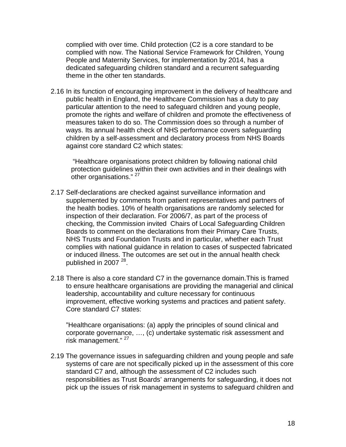complied with over time. Child protection (C2 is a core standard to be complied with now. The National Service Framework for Children, Y oung People and Maternity Services, for implementation by 2014, has a dedicated safeguarding children sta ndard and a recurrent safeguarding theme in the other ten standards.

2.16 In its function of encouraging improvement in the delivery of healthcare and promote the rights and welfare of children and promote the effectiveness of children by a self-assessment and declaratory process from NHS Boards against core standard C2 which states: public health in England, the Healthcare Commission has a duty to pay particular attention to the need to safeguard children and young people, measures taken to do so. The Commission does so through a number of ways. Its annual health check of NHS performance covers safeguarding

protection guidelines within their own activities and in their dealings with other organisations."<sup>27</sup> "Healthcare organisations protect children by following national child

- 2.17 Self-declarations are checked against surveillance information and the health bodies. 10% of health organisations are randomly selected for complies with national guidance in relation to cases of suspected fabricated or induced illness. The outcomes are set out in the annual health check published in 2007  $^{28}$ . supplemented by comments from patient representatives and partners of inspection of their declaration. For 2006/7, as part of the process of checking, the Commission invited Chairs of Local Safeguarding Children Boards to comment on the declarations from their Primary Care Trusts, NHS Trusts and Foundation Trusts and in particular, whether each Trust
- 2.18 There is also a core standard C7 in the governance domain.This is framed to ensure healthcare organisations are providing the managerial and clinical improvement, effective working systems and practices and patient safety. Core standard C7 states: leadership, accountability and culture necessary for continuous

corporate governance, ..., (c) undertake systematic risk assessment and risk management."<sup>27</sup> "Healthcare organisations: (a) apply the principles of sound clinical and

2.19 The governance issues in safeguarding children and young people and safe systems of care are not specifically picked up in the assessment of this core pick up the issues of risk management in systems to safeguard children and standard C7 and, although the assessment of C2 includes such responsibilities as Trust Boards' arrangements for safeguarding, it does not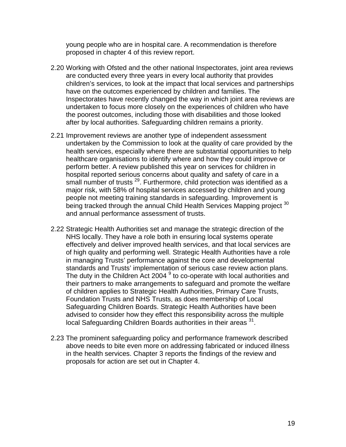young people who are in hospital care. A recommendation is therefore proposed in chapter 4 of this review report.

- 2.20 Working with Ofsted and the other national Inspectorates, joint area reviews are conducted every three years in every local authority that provides Inspectorates have recently changed the way in which joint area reviews are undertaken to focus more closely on the experiences of children who have children's services, to look at the impact that local services and partnerships have on the outcomes experienced by children and families. The the poorest outcomes, including those with disabilities and those looked after by local authorities. Safeguarding children remains a priority.
- 2.21 Improvement reviews are another type of independent assessment undertaken by the Commission to look at the quality of care provided by the health services, especially where there are substantial opportunities to help healthcare organisations to identify where and how they could improve or small number of trusts<sup>29</sup>. Furthermore, child protection was identified as a people not meeting training standards in safeguarding. Improvement is being tracked through the annual Child Health Services Mapping project 30 perform better. A review published this year on services for children in hospital reported serious concerns about quality and safety of care in a major risk, with 58% of hospital services accessed by children and young and annual performance assessment of trusts.
- 2.22 Strategic Health Authorities set and manage the strategic direction of the effectively and deliver improved health services, and that local services are The duty in the Children Act 2004  $^9$  to co-operate with local authorities and their partners to make arrangements to safeguard and promote the welfare Safeguarding Children Boards. Strategic Health Authorities have been advised to consider how they effect this responsibility across the multiple NHS locally. They have a role both in ensuring local systems operate of high quality and performing well. Strategic Health Authorities have a role in managing Trusts' performance against the core and developmental standards and Trusts' implementation of serious case review action plans. of children applies to Strategic Health Authorities, Primary Care Trusts, Foundation Trusts and NHS Trusts, as does membership of Local local Safeguarding Children Boards authorities in their areas <sup>31</sup>.
- 2.23 The prominent safeguarding policy and performance framework described above needs to bite even more on addressing fabricated or induced illness in the health services. Chapter 3 reports the findings of the review and proposals for action are set out in Chapter 4.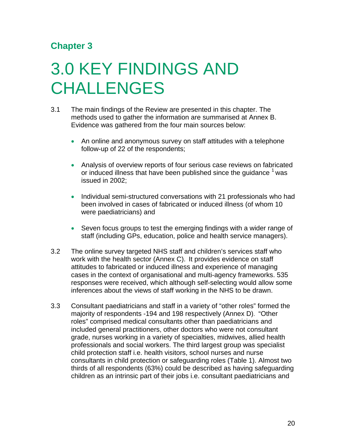# **Chapter 3**

# 3.0 KEY FINDINGS AND **CHALLENGES**

- The main findings of the Review are presented in this chapter. The methods used to gather the information are summarised at Annex B. 3.1 Evidence was gathered from the four main sources below:
	- An online and anonymous survey on staff attitudes with a telephone follow-up of 22 of the respondents;
	- Analysis of overview reports of four serious case reviews on fabricated or induced illness that have been published since the guidance  $1$  was issued in 2002;
	- Individual semi-structured conversations with 21 professionals who had been involved in cases of fabricated or induced illness (of whom 10 were paediatricians) and
	- . staff (including GPs, education, police and health service managers) Seven focus groups to test the emerging findings with a wider range of
- 3.2 responses were received, which although self-selecting would allow some The online survey targeted NHS staff and children's services staff who work with the health sector (Annex C). It provides evidence on staff attitudes to fabricated or induced illness and experience of managing cases in the context of organisational and multi-agency frameworks. 535 inferences about the views of staff working in the NHS to be drawn.
- 3.3 Consultant paediatricians and staff in a variety of "other roles" formed the children as an intrinsic part of their jobs i.e. consultant paediatricians and majority of respondents -194 and 198 respectively (Annex D). "Other roles" comprised medical consultants other than paediatricians and included general practitioners, other doctors who were not consultant grade, nurses working in a variety of specialties, midwives, allied health professionals and social workers. The third largest group was specialist child protection staff i.e. health visitors, school nurses and nurse consultants in child protection or safeguarding roles (Table 1). Almost two thirds of all respondents (63%) could be described as having safeguarding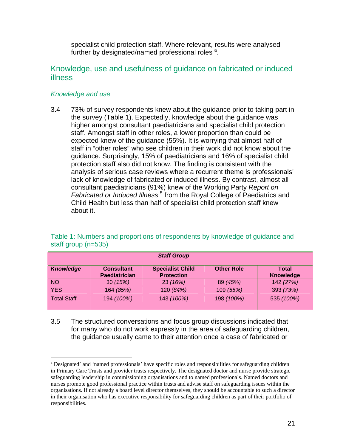specialist child protection staff. Where relevant, results were analysed further by design[a](#page-20-0)ted/named professional roles<sup>a</sup>.

### Knowledge, use and usefulness of guidance on fabricated or induced illness

#### *Knowledge and use*

3.4 73% of survey respondents knew about the guidance prior to taking part in the survey (Table 1). Expectedly, knowledge about the guidance was staff in "other roles" who see children in their work did not know about the analysis of serious case reviews where a recurrent theme is professionals' *Fabricated or Induced Illness*<sup>5</sup> from the Royal College of Paediatrics and Child Health but less than half of specialist child protection staff knew about it. higher amongst consultant paediatricians and specialist child protection staff. Amongst staff in other roles, a lower proportion than could be expected knew of the guidance (55%). It is worrying that almost half of guidance. Surprisingly, 15% of paediatricians and 16% of specialist child protection staff also did not know. The finding is consistent with the lack of knowledge of fabricated or induced illness. By contrast, almost all consultant paediatricians (91%) knew of the Working Party *Report on* 

| <b>Staff Group</b> |                                           |                                              |                   |                           |
|--------------------|-------------------------------------------|----------------------------------------------|-------------------|---------------------------|
| <b>Knowledge</b>   | <b>Consultant</b><br><b>Paediatrician</b> | <b>Specialist Child</b><br><b>Protection</b> | <b>Other Role</b> | Total<br><b>Knowledge</b> |
| <b>NO</b>          | 30(15%)                                   | 23 (16%)                                     | 89 (45%)          | 142 (27%)                 |
| <b>YES</b>         | 164 (85%)                                 | 120 (84%)                                    | 109 (55%)         | 393 (73%)                 |
| <b>Total Staff</b> | 194 (100%)                                | 143 (100%)                                   | 198 (100%)        | 535 (100%)                |

#### Table 1: Numbers and proportions of respondents by knowledge of guidance and staff group (n=535)

3.5 for many who do not work expressly in the area of safeguarding children, the guidance usually came to their attention once a case of fabricated or The structured conversations and focus group discussions indicated that

l

<span id="page-20-0"></span><sup>&</sup>lt;sup>a</sup> Designated' and 'named professionals' have specific roles and responsibilities for safeguarding children in Primary Care Trusts and provider trusts respectively. The designated doctor and nurse provide strategic safeguarding leadership in commissioning organisations and to named professionals. Named doctors and nurses promote good professional practice within trusts and advise staff on safeguarding issues within the organisations. If not already a board level director themselves, they should be accountable to such a director in their organisation who has executive responsibility for safeguarding children as part of their portfolio of responsibilities.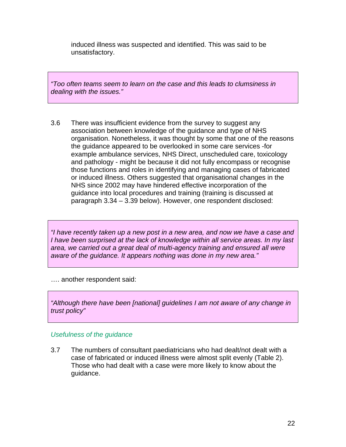induced illness was suspected and identified. This was said to be unsatisfactory.

*"Too often teams seem to learn on the case and this leads to clumsiness in dealing with the issues."* 

3.6 organisation. Nonetheless, it was thought by some that one of the reasons the guidance appeared to be overlooked in some care services -for example ambulance services, NHS Direct, unscheduled care, toxicology and pathology - might be because it did not fully encompass or recognise those functions and roles in identifying and managing cases of fabricated or induced illness. Others suggested that organisational changes in the NHS since 2002 may have hindered effective incorporation of the There was insufficient evidence from the survey to suggest any association between knowledge of the guidance and type of NHS guidance into local procedures and training (training is discussed at paragraph 3.34 – 3.39 below). However, one respondent disclosed:

*"I have recently taken up a new post in a new area, and now we have a case and I have been surprised at the lack of knowledge within all service areas. In my last area, we carried out a great deal of multi-agency training and ensured all were aware of the guidance. It appears nothing was done in my new area."* 

…. another respondent said:

*"Although there have been [national] guidelines I am not aware of any change in trust policy"*

#### *Usefulness of the guidance*

case of fabricated or induced illness were almost split evenly (Table 2). Those who had dealt with a case were more likely to know about the guidance. 3.7 The numbers of consultant paediatricians who had dealt/not dealt with a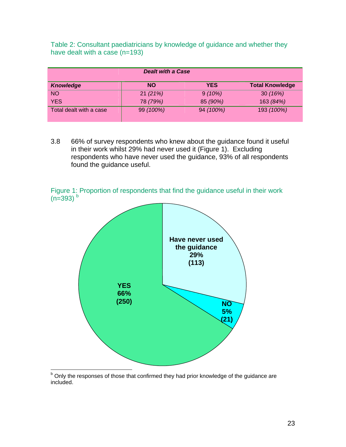| Table 2: Consultant paediatricians by knowledge of guidance and whether they |  |  |  |
|------------------------------------------------------------------------------|--|--|--|
| have dealt with a case $(n=193)$                                             |  |  |  |

| <b>Dealt with a Case</b> |           |            |                        |  |
|--------------------------|-----------|------------|------------------------|--|
| <b>Knowledge</b>         | <b>NO</b> | <b>YES</b> | <b>Total Knowledge</b> |  |
| <b>NO</b>                | 21(21%)   | 9(10%)     | 30(16%)                |  |
| <b>YES</b>               | 78 (79%)  | 85 (90%)   | 163 (84%)              |  |
| Total dealt with a case  | 99 (100%) | 94 (100%)  | 193 (100%)             |  |

3.8 66% of survey respondents who knew about the guidance found it useful in their work whilst 29% had never used it (Figure 1). Excluding respondents who have never used the guidance, 93% of all respondents found the guidance useful.

Figure 1: Proportion of respondents that find the guidance useful in their work  $(n=393)$ <sup>[b](#page-22-0)</sup>



<span id="page-22-0"></span>**EXECUTE:**<br> **EXECUTE:**<br> **EXECUTE:** Only the responses of those that confirmed they had prior knowledge of the guidance are included.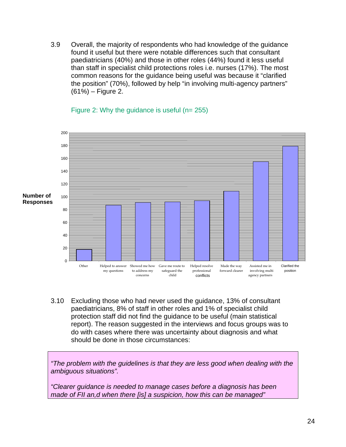3.9 Overall, the majority of respondents who had knowledge of the guidance found it useful but there were notable differences such that consultant paediatricians (40%) and those in other roles (44%) found it less useful than staff in specialist child protections roles i.e. nurses (17%). The most common reasons for the guidance being useful was because it "clarified the position" (70%), followed by help "in involving multi-agency partners" (61%) – Figure 2.



Figure 2: Why the guidance is useful (n= 255)

.10 Excluding those who had never used the guidance, 13% of consultant 3 protection staff did not find the guidance to be useful (main statistical report). The reason suggested in the interviews and focus groups was to paediatricians, 8% of staff in other roles and 1% of specialist child do with cases where there was uncertainty about diagnosis and what should be done in those circumstances:

*"The problem with the guidelines is that they are less good when dealing with the ambiguous situations".* 

*"Clearer guidance is needed to manage cases before a diagnosis has been made of FII an,d when there [is] a suspicion, how this can be managed"*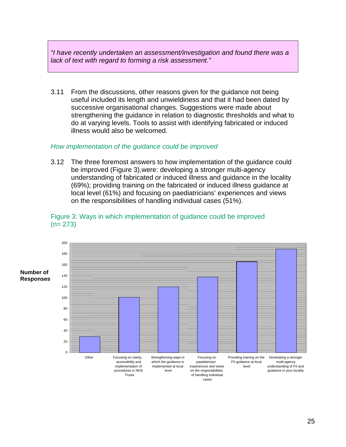*"I have recently undertaken an assessment/investigation and found there was a lack of text with regard to forming a risk assessment."* 

From the discussions, other reasons given for the guidance not being useful included its length and unwieldiness and that it had been dated by successive organisational changes. Suggestions were made about do at varying levels. Tools to assist with identifying fabricated or induced  $3.11$ strengthening the guidance in relation to diagnostic thresholds and what to illness would also be welcomed.

#### *How im plementation of the guidance could be improved*

The three foremost answers to how implementation of the guidance could understanding of fabricated or induced illness and guidance in the locality (69%); providing training on the fabricated or induced illness guidance at  $3.12$ be improved (Figure 3),were: developing a stronger multi-agency local level (61%) and focusing on paediatricians' experiences and views on the responsibilities of handling individual cases (51%).



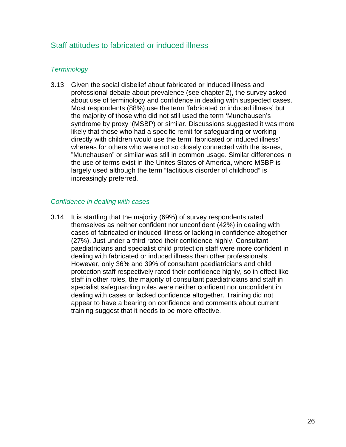### Staff attitudes to fabricated or induced illness

#### **Terminology**

Given the social disbelief about fabricated or induced illness and 3.13 professional debate about prevalence (see chapter 2), the survey ask ed about use of terminology and confidence in dealing with suspected cas es. Most respondents (88%),use the term 'fabricated or induced illness' but the majority of those who did not still used the term 'Munchausen's syndrome by proxy '(MSBP) or similar. Discussions suggested it was m ore likely that those who had a specific remit for safeguarding or workin g directly with children wo uld use the term' fabricated or induced illness' whereas for others who were not so closely connected with the issues, "Munchausen" or similar was still in common usage. Similar differences in the use of terms exist in the Unites States of America, where MSBP is largely used although the term "factitious disorder of childhood" is increasingly preferred.

#### *Confid ence in dealing with cases*

3.14 th themselves as neither confident nor unconfident (42%) in dealing wi paediatricians and specialist child protection staff were more confident in protection staff respectively rated their confidence highly, so in effect like staff in other roles, the majority of consultant paediatricians and staff in specialist safeguarding roles were neither confident nor unconfident in dealing with cases or lacked confidence altogether. Training did not appear to have a bearing on confidence and comments about current training suggest that it needs to be more effective. It is startling that the majority (69%) of survey respondents rated cases of fabricated or induced illness or lacking in confidence altogether (27%). Just under a third rated their confidence highly. Consultant dealing with fabricated or induced illness than other professionals. However, only 36% and 39% of consultant paediatricians and child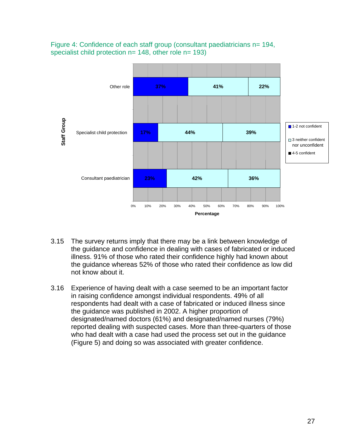



- 3.15 The survey returns imply that there may be a link between knowledge of the guidance and confidence in dealing with cases of fabricated or induced illness. 91% of those who rated their confidence highly had known about the guidance whereas 52% of those who rated their confidence as low did not know about it.
- 3.16 Experience of having dealt with a case seemed to be an important factor in raising confidence amongst individual respondents. 49% of all respondents had dealt with a case of fabricated or induced illness since the guidance was published in 2002. A higher proportion of designated/named doctors (61%) and designated/named nurses (79%) reported dealing with suspected cases. More than three-quarters of those who had dealt with a case had used the process set out in the guidance (Figure 5) and doing so was associated with greater confidence.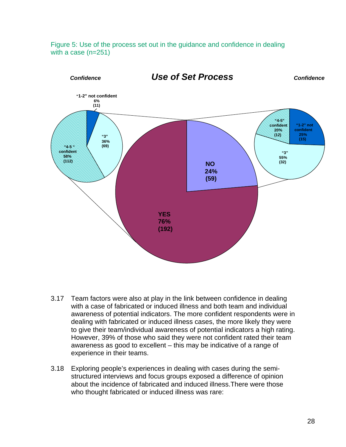



- 3.17 Team factors were also at play in the link between confidence in dealing with a case of fabricated or induced illness and both team and individual awareness of potential indicators. The more confident respondents were in dealing with fabricated or induced illness cases, the more likely they were to give their team/individual awareness of potential indicators a high rating. However, 39% of those who said they were not confident rated their team awareness as good to excellent – this may be indicative of a range of experience in their teams.
- 3.18 Exploring people's experiences in dealing with cases during the semistructured interviews and focus groups exposed a difference of opinion about the incidence of fabricated and induced illness.There were those who thought fabricated or induced illness was rare: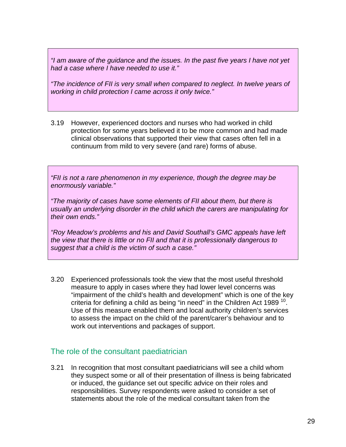*"I am aware of the guidance and the issues. In the past five years I have not yet had a case where I have needed to use it."*

*"The incidence of FII is very small when compared to neglect. In twelve years of working in child protection I came across it only twice."* 

3.19 However, experienced doctors and nurses who had worked in child protection for some years believed it to be more common and had made clinical observations that supported their view that cases often fell in a continuum from mild to very severe (and rare) forms of abuse.

*"FII is not a rare phenomenon in my experience, though the degree may be enormously variable."* 

*"The majority of cases have some elements of FII about them, but there is usually an underlying disorder in the child which the carers are manipulating for their own ends."* 

*"Roy Meadow's problems and his and David Southall's GMC appeals have left the view that there is little or no FII and that it is professionally dangerous to suggest that a child is the victim of such a case."* 

3.20 Experienced professionals took the view that the most useful threshold measure to apply in cases where they had lower level concerns was "impairment of the child's health and development" which is one of the key criteria for defining a child as being "in need" in the Children Act 1989<sup>10</sup>. Use of this measure enabled them and local authority children's services to assess the impact on the child of the parent/carer's behaviour and to work out interventions and packages of support.

### The role of the consultant paediatrician

3.21 In recognition that most consultant paediatricians will see a child whom they suspect some or all of their presentation of illness is being fabricated or induced, the guidance set out specific advice on their roles and responsibilities. Survey respondents were asked to consider a set of statements about the role of the medical consultant taken from the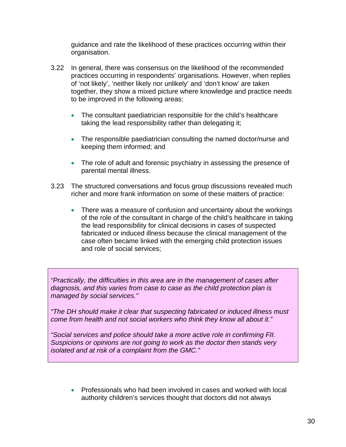guidance and rate the likelihood of these practices occurring within their organisation.

- 3.22 In general, there was consensus on the likelihood of the recommended practices occurring in respondents' organisations. However, when replies of 'not likely', 'neither likely nor unlikely' and 'don't know' are taken together, they show a mixed picture where knowledge and practice needs to be improved in the following areas:
	- The consultant paediatrician responsible for the child's healthcare taking the lead responsibility rather than delegating it;
	- The responsible paediatrician consulting the named doctor/nurse and keeping them informed; and
	- The role of adult and forensic psychiatry in assessing the presence of parental mental illness.
- 3.23 The structured conversations and focus group discussions revealed much richer and more frank information on some of these matters of practice:
	- There was a measure of confusion and uncertainty about the workings of the role of the consultant in charge of the child's healthcare in taking the lead responsibility for clinical decisions in cases of suspected fabricated or induced illness because the clinical management of the case often became linked with the emerging child protection issues and role of social services;

*"Practically, the difficulties in this area are in the management of cases after diagnosis, and this varies from case to case as the child protection plan is managed by social services."* 

*"The DH should make it clear that suspecting fabricated or induced illness must come from health and not social workers who think they know all about it."* 

*"Social services and police should take a more active role in confirming FII. Suspicions or opinions are not going to work as the doctor then stands very isolated and at risk of a complaint from the GMC."* 

• Professionals who had been involved in cases and worked with local authority children's services thought that doctors did not always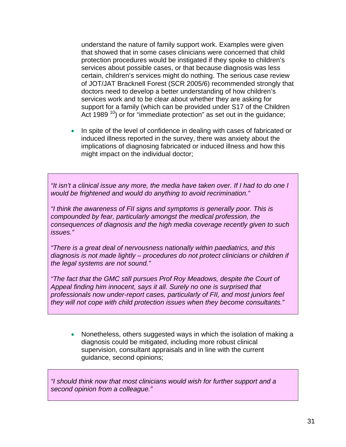understand the nature of family support work. Examples were given that showed that in some cases clinicians were concerned that child protection procedures would be instigated if they spoke to children's services about possible cases, or that because diagnosis was less certain, children's services might do nothing. The serious case review of JOT/JAT Bracknell Forest (SCR 2005/6) recommended strongly that doctors need to develop a better understanding of how children's services work and to be clear about whether they are asking for support for a family (which can be provided under S17 of the Children Act 1989<sup>10</sup>) or for "immediate protection" as set out in the guidance;

• In spite of the level of confidence in dealing with cases of fabricated or induced illness reported in the survey, there was anxiety about the implications of diagnosing fabricated or induced illness and how this might impact on the individual doctor;

*"It isn't a clinical issue any more, the media have taken over. If I had to do one I would be frightened and would do anything to avoid recrimination."* 

*"I think the awareness of FII signs and symptoms is generally poor. This is compounded by fear, particularly amongst the medical profession, the consequences of diagnosis and the high media coverage recently given to such issues."* 

*"There is a great deal of nervousness nationally within paediatrics, and this diagnosis is not made lightly – procedures do not protect clinicians or children if the legal systems are not sound."* 

*"The fact that the GMC still pursues Prof Roy Meadows, despite the Court of Appeal finding him innocent, says it all. Surely no one is surprised that professionals now under-report cases, particularly of FII, and most juniors feel they will not cope with child protection issues when they become consultants."* 

• Nonetheless, others suggested ways in which the isolation of making a diagnosis could be mitigated, including more robust clinical supervision, consultant appraisals and in line with the current guidance, second opinions;

*"I should think now that most clinicians would wish for further support and a second opinion from a colleague."*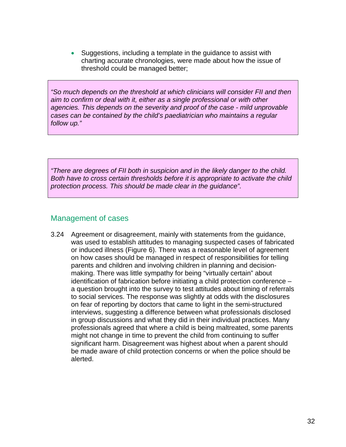• Suggestions, including a template in the guidance to assist with charting accurate chronologies, were made about how the issue of threshold could be managed better;

*"So much depends on the threshold at which clinicians will consider FII and then aim to confirm or deal with it, either as a single professional or with other agencies. This depends on the severity and proof of the case - mild unprovable cases can be contained by the child's paediatrician who maintains a regular follow up."* 

*"There are degrees of FII both in suspicion and in the likely danger to the child. Both have to cross certain thresholds before it is appropriate to activate the child protection process. This should be made clear in the guidance".* 

### Management of cases

3.24 Agreement or disagreement, mainly with statements from the guidance, was used to establish attitudes to managing suspected cases of fabricated or induced illness (Figure 6). There was a reasonable level of agreement on how cases should be managed in respect of responsibilities for telling parents and children and involving children in planning and decisionmaking. There was little sympathy for being "virtually certain" about identification of fabrication before initiating a child protection conference – a question brought into the survey to test attitudes about timing of referrals to social services. The response was slightly at odds with the disclosures on fear of reporting by doctors that came to light in the semi-structured interviews, suggesting a difference between what professionals disclosed in group discussions and what they did in their individual practices. Many professionals agreed that where a child is being maltreated, some parents might not change in time to prevent the child from continuing to suffer significant harm. Disagreement was highest about when a parent should be made aware of child protection concerns or when the police should be alerted.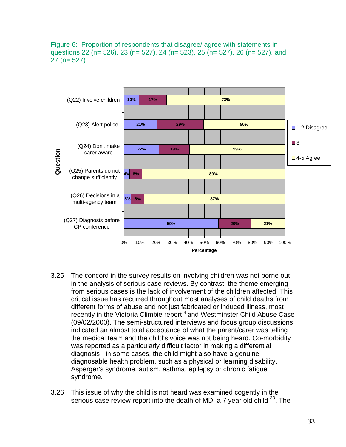Figure 6: Proportion of respondents that disagree/ agree with statements in questions 22 (n= 526), 23 (n= 527), 24 (n= 523), 25 (n= 527), 26 (n= 527), and 27 (n= 527)



- 3.25 The concord in the survey results on involving children was not borne out in the analysis of serious case reviews. By contrast, the theme emerging from serious cases is the lack of involvement of the children affected. This critical issue has recurred throughout most analyses of child deaths from different forms of abuse and not just fabricated or induced illness, most recently in the Victoria Climbie report  $4$  and Westminster Child Abuse Case (09/02/2000). The semi-structured interviews and focus group discussions indicated an almost total acceptance of what the parent/carer was telling the medical team and the child's voice was not being heard. Co-morbidity was reported as a particularly difficult factor in making a differential diagnosis - in some cases, the child might also have a genuine diagnosable health problem, such as a physical or learning disability, Asperger's syndrome, autism, asthma, epilepsy or chronic fatigue syndrome.
- 3.26 This issue of why the child is not heard was examined cogently in the serious case review report into the death of MD, a 7 year old child  $33$ . The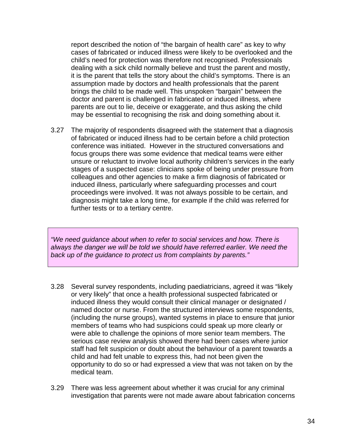report described the notion of "the bargain of health care" as key to why cases of fabricated or induced illness were likely to be overlooked and the child's need for protection was therefore not recognised. Professionals dealing with a sick child normally believe and trust the parent and mostly, it is the parent that tells the story about the child's symptoms. There is an assumption made by doctors and health professionals that the parent brings the child to be made well. This unspoken "bargain" between the doctor and parent is challenged in fabricated or induced illness, where parents are out to lie, deceive or exaggerate, and thus asking the child may be essential to recognising the risk and doing something about it.

3.27 The majority of respondents disagreed with the statement that a diagnosis of fabricated or induced illness had to be certain before a child protection conference was initiated. However in the structured conversations and focus groups there was some evidence that medical teams were either unsure or reluctant to involve local authority children's services in the early stages of a suspected case: clinicians spoke of being under pressure from colleagues and other agencies to make a firm diagnosis of fabricated or induced illness, particularly where safeguarding processes and court proceedings were involved. It was not always possible to be certain, and diagnosis might take a long time, for example if the child was referred for further tests or to a tertiary centre.

*"We need guidance about when to refer to social services and how. There is always the danger we will be told we should have referred earlier. We need the back up of the guidance to protect us from complaints by parents."* 

- 3.28 Several survey respondents, including paediatricians, agreed it was "likely or very likely" that once a health professional suspected fabricated or induced illness they would consult their clinical manager or designated / named doctor or nurse. From the structured interviews some respondents, (including the nurse groups), wanted systems in place to ensure that junior members of teams who had suspicions could speak up more clearly or were able to challenge the opinions of more senior team members. The serious case review analysis showed there had been cases where junior staff had felt suspicion or doubt about the behaviour of a parent towards a child and had felt unable to express this, had not been given the opportunity to do so or had expressed a view that was not taken on by the medical team.
- 3.29 There was less agreement about whether it was crucial for any criminal investigation that parents were not made aware about fabrication concerns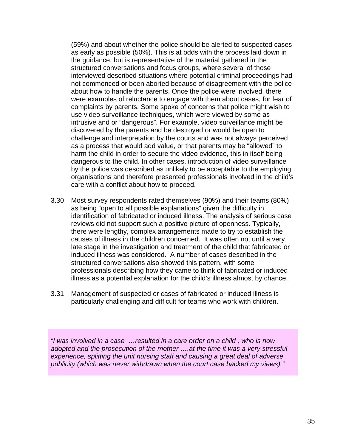(59%) and about whether the police should be alerted to suspected cases as early as possible (50%). This is at odds with the process laid down in the guidance, but is representative of the material gathered in the structured conversations and focus groups, where several of those interviewed described situations where potential criminal proceedings had not commenced or been aborted because of disagreement with the police about how to handle the parents. Once the police were involved, there were examples of reluctance to engage with them about cases, for fear of complaints by parents. Some spoke of concerns that police might wish to use video surveillance techniques, which were viewed by some as intrusive and or "dangerous". For example, video surveillance might be discovered by the parents and be destroyed or would be open to challenge and interpretation by the courts and was not always perceived as a process that would add value, or that parents may be "allowed" to harm the child in order to secure the video evidence, this in itself being dangerous to the child. In other cases, introduction of video surveillance by the police was described as unlikely to be acceptable to the employing organisations and therefore presented professionals involved in the child's care with a conflict about how to proceed.

- 3.30 Most survey respondents rated themselves (90%) and their teams (80%) as being "open to all possible explanations" given the difficulty in identification of fabricated or induced illness. The analysis of serious case reviews did not support such a positive picture of openness. Typically, there were lengthy, complex arrangements made to try to establish the causes of illness in the children concerned. It was often not until a very late stage in the investigation and treatment of the child that fabricated or induced illness was considered. A number of cases described in the structured conversations also showed this pattern, with some professionals describing how they came to think of fabricated or induced illness as a potential explanation for the child's illness almost by chance.
- 3.31 Management of suspected or cases of fabricated or induced illness is particularly challenging and difficult for teams who work with children.

*"I was involved in a case …resulted in a care order on a child , who is now adopted and the prosecution of the mother ….at the time it was a very stressful experience, splitting the unit nursing staff and causing a great deal of adverse publicity (which was never withdrawn when the court case backed my views)."*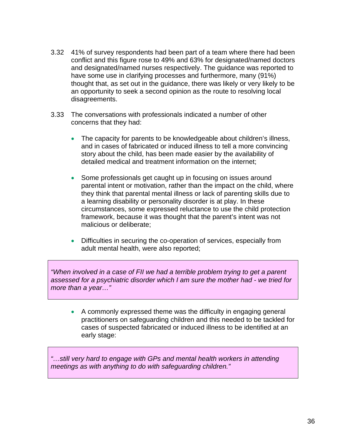- 3.32 41% of survey respondents had been part of a team where there had been conflict and this figure rose to 49% and 63% for designated/named doctors and designated/named nurses respectively. The guidance was reported to have some use in clarifying processes and furthermore, many (91%) thought that, as set out in the guidance, there was likely or very likely to be an opportunity to seek a second opinion as the route to resolving local disagreements.
- 3.33 The conversations with professionals indicated a number of other concerns that they had:
	- The capacity for parents to be knowledgeable about children's illness, and in cases of fabricated or induced illness to tell a more convincing story about the child, has been made easier by the availability of detailed medical and treatment information on the internet;
	- Some professionals get caught up in focusing on issues around parental intent or motivation, rather than the impact on the child, where they think that parental mental illness or lack of parenting skills due to a learning disability or personality disorder is at play. In these circumstances, some expressed reluctance to use the child protection framework, because it was thought that the parent's intent was not malicious or deliberate;
	- Difficulties in securing the co-operation of services, especially from adult mental health, were also reported;

*"When involved in a case of FII we had a terrible problem trying to get a parent assessed for a psychiatric disorder which I am sure the mother had - we tried for more than a year…"* 

• A commonly expressed theme was the difficulty in engaging general practitioners on safeguarding children and this needed to be tackled for cases of suspected fabricated or induced illness to be identified at an early stage:

*"…still very hard to engage with GPs and mental health workers in attending meetings as with anything to do with safeguarding children."*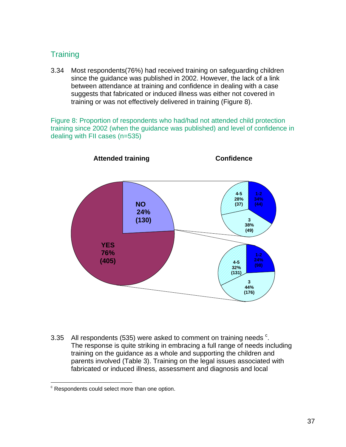# **Training**

3.34 Most respondents(76%) had received training on safeguarding children since the guidance was published in 2002. However, the lack of a link between attendance at training and confidence in dealing with a case suggests that fabricated or induced illness was either not covered in training or was not effectively delivered in training (Figure 8).

Figure 8: Proportion of respondents who had/had not attended child protection training since 2002 (when the guidance was published) and level of confidence in dealing with FII cases (n=535)



3.35 All respondents (535) were asked to [c](#page-36-0)omment on training needs  $\textdegree$ . The response is quite striking in embracing a full range of needs including training on the guidance as a whole and supporting the children and parents involved (Table 3). Training on the legal issues associated with fabricated or induced illness, assessment and diagnosis and local

<span id="page-36-0"></span><sup>|&</sup>lt;br>c  $\textdegree$  Respondents could select more than one option.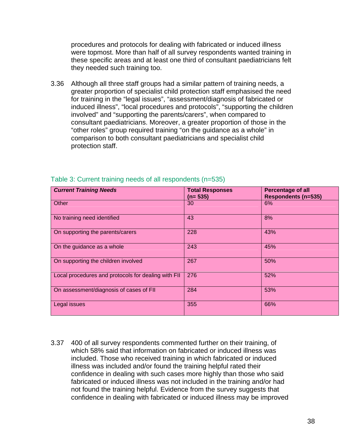procedures and protocols for dealing with fabricated or induced illness were topmost. More than half of all survey respondents wanted training in these specific areas and at least one third of consultant paediatricians felt they needed such training too.

3.36 Although all three staff groups had a similar pattern of training needs, a greater proportion of specialist child protection staff emphasised the need for training in the "legal issues", "assessment/diagnosis of fabricated or induced illness", "local procedures and protocols", "supporting the children involved" and "supporting the parents/carers", when compared to consultant paediatricians. Moreover, a greater proportion of those in the "other roles" group required training "on the guidance as a whole" in comparison to both consultant paediatricians and specialist child protection staff.

| <b>Current Training Needs</b>                       | <b>Total Responses</b><br>$(n= 535)$ | <b>Percentage of all</b><br><b>Respondents (n=535)</b> |
|-----------------------------------------------------|--------------------------------------|--------------------------------------------------------|
| Other                                               | 30                                   | 6%                                                     |
| No training need identified                         | 43                                   | 8%                                                     |
| On supporting the parents/carers                    | 228                                  | 43%                                                    |
| On the guidance as a whole                          | 243                                  | 45%                                                    |
| On supporting the children involved                 | 267                                  | 50%                                                    |
| Local procedures and protocols for dealing with FII | 276                                  | 52%                                                    |
| On assessment/diagnosis of cases of FII             | 284                                  | 53%                                                    |
| Legal issues                                        | 355                                  | 66%                                                    |

#### Table 3: Current training needs of all respondents (n=535)

3.37 400 of all survey respondents commented further on their training, of which 58% said that information on fabricated or induced illness was included. Those who received training in which fabricated or induced illness was included and/or found the training helpful rated their confidence in dealing with such cases more highly than those who said fabricated or induced illness was not included in the training and/or had not found the training helpful. Evidence from the survey suggests that confidence in dealing with fabricated or induced illness may be improved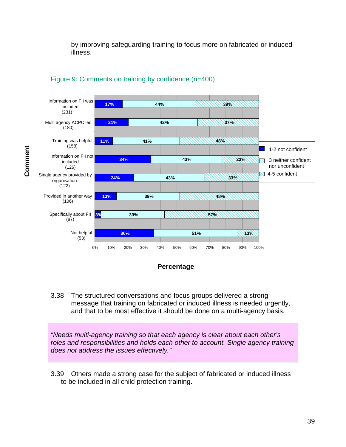by improving safeguarding training to focus more on fabricated or induced illness.



#### Figure 9: Comments on training by confidence (n=400)



3.38 The structured conversations and focus groups delivered a strong message that training on fabricated or induced illness is needed urgently, and that to be most effective it should be done on a multi-agency basis.

*"Needs multi-agency training so that each agency is clear about each other's roles and responsibilities and holds each other to account. Single agency training does not address the issues effectively."* 

3.39 Others made a strong case for the subject of fabricated or induced illness to be included in all child protection training.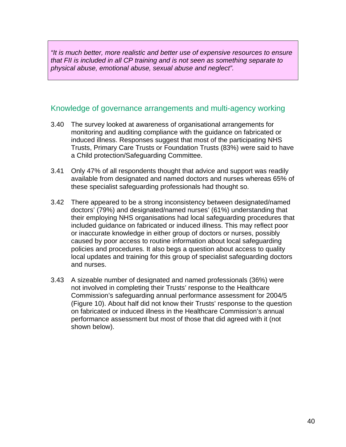*"It is much better, more realistic and better use of expensive resources to ensure that FII is included in all CP training and is not seen as something separate to physical abuse, emotional abuse, sexual abuse and neglect".* 

### Knowledge of governance arrangements and multi-agency working

- 3.40 The survey looked at awareness of organisational arrangements for monitoring and auditing compliance with the guidance on fabricated or induced illness. Responses suggest that most of the participating NHS Trusts, Primary Care Trusts or Foundation Trusts (83%) were said to have a Child protection/Safeguarding Committee.
- 3.41 Only 47% of all respondents thought that advice and support was readily available from designated and named doctors and nurses whereas 65% of these specialist safeguarding professionals had thought so.
- 3.42 There appeared to be a strong inconsistency between designated/named doctors' (79%) and designated/named nurses' (61%) understanding that their employing NHS organisations had local safeguarding procedures that included guidance on fabricated or induced illness. This may reflect poor or inaccurate knowledge in either group of doctors or nurses, possibly caused by poor access to routine information about local safeguarding policies and procedures. It also begs a question about access to quality local updates and training for this group of specialist safeguarding doctors and nurses.
- 3.43 A sizeable number of designated and named professionals (36%) were not involved in completing their Trusts' response to the Healthcare Commission's safeguarding annual performance assessment for 2004/5 (Figure 10). About half did not know their Trusts' response to the question on fabricated or induced illness in the Healthcare Commission's annual performance assessment but most of those that did agreed with it (not shown below).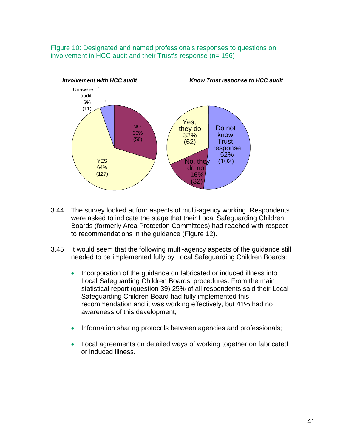Figure 10: Designated and named professionals responses to questions on involvement in HCC audit and their Trust's response (n= 196)



- 3.44 The survey looked at four aspects of multi-agency working. Respondents were asked to indicate the stage that their Local Safeguarding Children Boards (formerly Area Protection Committees) had reached with respect to recommendations in the guidance (Figure 12).
- 3.45 It would seem that the following multi-agency aspects of the guidance still needed to be implemented fully by Local Safeguarding Children Boards:
	- Incorporation of the guidance on fabricated or induced illness into Local Safeguarding Children Boards' procedures. From the main statistical report (question 39) 25% of all respondents said their Local Safeguarding Children Board had fully implemented this recommendation and it was working effectively, but 41% had no awareness of this development;
	- Information sharing protocols between agencies and professionals;
	- Local agreements on detailed ways of working together on fabricated or induced illness.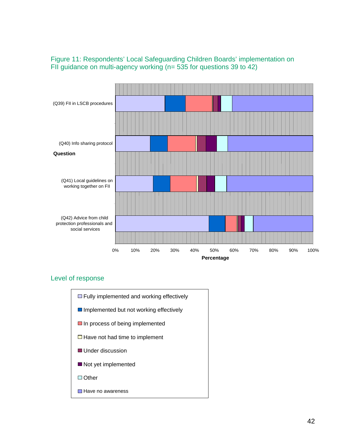#### Figure 11: Respondents' Local Safeguarding Children Boards' implementation on FII guidance on multi-agency working (n= 535 for questions 39 to 42)



#### Level of response

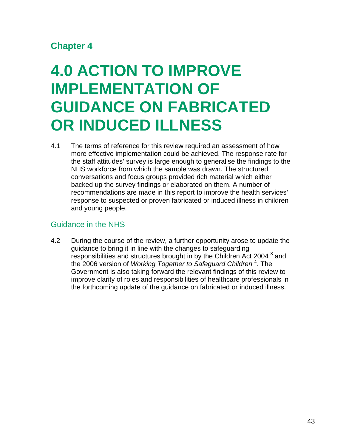# **Chapter 4**

# **4.0 ACTION TO IMPROVE IMPLEMENTATION OF GUIDANCE ON FABRICATED OR INDUCED ILLNESS**

4.1 The terms of reference for this review required an assessment of how more effective implementation could be achieved. The response rate for the staff attitudes' survey is large enough to generalise the findings to the NHS workforce from which the sample was drawn. The structured conversations and focus groups provided rich material which either backed up the survey findings or elaborated on them. A number of recommendations are made in this report to improve the health services' response to suspected or proven fabricated or induced illness in children and young people.

## Guidance in the NHS

4.2 During the course of the review, a further opportunity arose to update the guidance to bring it in line with the changes to safeguarding responsibilities and structures brought in by the Children Act 2004<sup>8</sup> and the 2006 version of *Working Together to Safeguard Children* <sup>4</sup> . The Government is also taking forward the relevant findings of this review to improve clarity of roles and responsibilities of healthcare professionals in the forthcoming update of the guidance on fabricated or induced illness.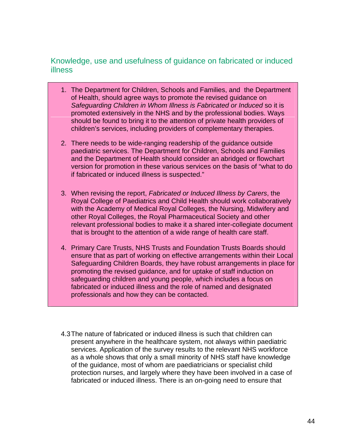### Knowledge, use and usefulness of guidance on fabricated or induced illness

- 1. The Department for Children, Schools and Families, and the Department of Health, should agree ways to promote the revised guidance on *Safeguarding Children in Whom Illness is Fabricated or Induced* so it is promoted extensively in the NHS and by the professional bodies. Ways should be found to bring it to the attention of private health providers of children's services, including providers of complementary therapies.
- 2. There needs to be wide-ranging readership of the guidance outside paediatric services. The Department for Children, Schools and Families and the Department of Health should consider an abridged or flowchart version for promotion in these various services on the basis of "what to do if fabricated or induced illness is suspected."
- 3. When revising the report, *Fabricated or Induced Illness by Carers*, the Royal College of Paediatrics and Child Health should work collaboratively with the Academy of Medical Royal Colleges, the Nursing, Midwifery and other Royal Colleges, the Royal Pharmaceutical Society and other relevant professional bodies to make it a shared inter-collegiate document that is brought to the attention of a wide range of health care staff.
- 4. Primary Care Trusts, NHS Trusts and Foundation Trusts Boards should ensure that as part of working on effective arrangements within their Local Safeguarding Children Boards, they have robust arrangements in place for promoting the revised guidance, and for uptake of staff induction on safeguarding children and young people, which includes a focus on fabricated or induced illness and the role of named and designated professionals and how they can be contacted.
- 4.3 The nature of fabricated or induced illness is such that children can present anywhere in the healthcare system, not always within paediatric services. Application of the survey results to the relevant NHS workforce as a whole shows that only a small minority of NHS staff have knowledge of the guidance, most of whom are paediatricians or specialist child protection nurses, and largely where they have been involved in a case of fabricated or induced illness. There is an on-going need to ensure that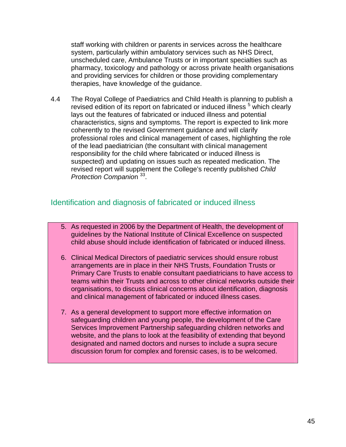staff working with children or parents in services across the healthcare system, particularly within ambulatory services such as NHS Direct, unscheduled care, Ambulance Trusts or in important specialties such as pharmacy, toxicology and pathology or across private health organisations and providing services for children or those providing complementary therapies, have knowledge of the guidance.

4.4 The Royal College of Paediatrics and Child Health is planning to publish a revised edition of its report on fabricated or induced illness<sup>5</sup> which clearly lays out the features of fabricated or induced illness and potential characteristics, signs and symptoms. The report is expected to link more coherently to the revised Government guidance and will clarify professional roles and clinical management of cases, highlighting the role of the lead paediatrician (the consultant with clinical management responsibility for the child where fabricated or induced illness is suspected) and updating on issues such as repeated medication. The revised report will supplement the College's recently published *Child Protection Companion*  $33$ .

### Identification and diagnosis of fabricated or induced illness

- 5. As requested in 2006 by the Department of Health, the development of guidelines by the National Institute of Clinical Excellence on suspected child abuse should include identification of fabricated or induced illness.
- 6. Clinical Medical Directors of paediatric services should ensure robust arrangements are in place in their NHS Trusts, Foundation Trusts or Primary Care Trusts to enable consultant paediatricians to have access to teams within their Trusts and across to other clinical networks outside their organisations, to discuss clinical concerns about identification, diagnosis and clinical management of fabricated or induced illness cases.
- 7. As a general development to support more effective information on safeguarding children and young people, the development of the Care Services Improvement Partnership safeguarding children networks and website, and the plans to look at the feasibility of extending that beyond designated and named doctors and nurses to include a supra secure discussion forum for complex and forensic cases, is to be welcomed.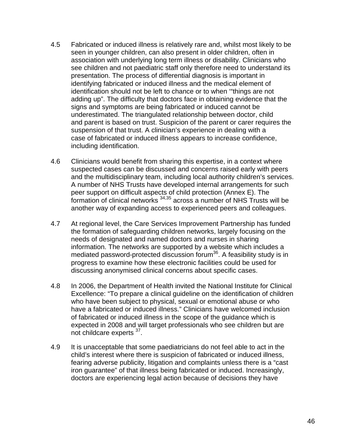- 4.5 Fabricated or induced illness is relatively rare and, whilst most likely to be seen in younger children, can also present in older children, often in association with underlying long term illness or disability. Clinicians who see children and not paediatric staff only therefore need to understand its presentation. The process of differential diagnosis is important in identifying fabricated or induced illness and the medical element of identification should not be left to chance or to when '"things are not adding up". The difficulty that doctors face in obtaining evidence that the signs and symptoms are being fabricated or induced cannot be underestimated. The triangulated relationship between doctor, child and parent is based on trust. Suspicion of the parent or carer requires the suspension of that trust. A clinician's experience in dealing with a case of fabricated or induced illness appears to increase confidence, including identification.
- 4.6 Clinicians would benefit from sharing this expertise, in a context where suspected cases can be discussed and concerns raised early with peers and the multidisciplinary team, including local authority children's services. A number of NHS Trusts have developed internal arrangements for such peer support on difficult aspects of child protection (Annex E). The formation of clinical networks  $34,35$  across a number of NHS Trusts will be another way of expanding access to experienced peers and colleagues.
- 4.7 At regional level, the Care Services Improvement Partnership has funded the formation of safeguarding children networks, largely focusing on the needs of designated and named doctors and nurses in sharing information. The networks are supported by a website which includes a mediated password-protected discussion forum<sup>36</sup>. A feasibility study is in progress to examine how these electronic facilities could be used for discussing anonymised clinical concerns about specific cases.
- 4.8 In 2006, the Department of Health invited the National Institute for Clinical Excellence: "To prepare a clinical guideline on the identification of children who have been subject to physical, sexual or emotional abuse or who have a fabricated or induced illness." Clinicians have welcomed inclusion of fabricated or induced illness in the scope of the guidance which is expected in 2008 and will target professionals who see children but are not childcare experts 37.
- 4.9 It is unacceptable that some paediatricians do not feel able to act in the child's interest where there is suspicion of fabricated or induced illness, fearing adverse publicity, litigation and complaints unless there is a "cast iron guarantee" of that illness being fabricated or induced. Increasingly, doctors are experiencing legal action because of decisions they have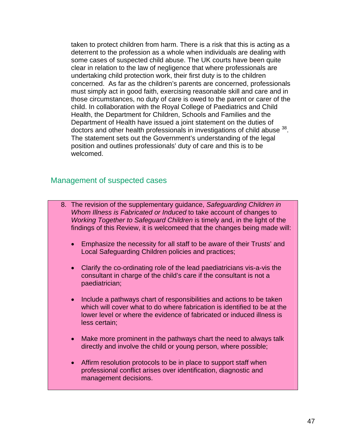taken to protect children from harm. There is a risk that this is acting as a deterrent to the profession as a whole when individuals are dealing with some cases of suspected child abuse. The UK courts have been quite clear in relation to the law of negligence that where professionals are undertaking child protection work, their first duty is to the children concerned. As far as the children's parents are concerned, professionals must simply act in good faith, exercising reasonable skill and care and in those circumstances, no duty of care is owed to the parent or carer of the child. In collaboration with the Royal College of Paediatrics and Child Health, the Department for Children, Schools and Families and the Department of Health have issued a joint statement on the duties of doctors and other health professionals in investigations of child abuse 38. The statement sets out the Government's understanding of the legal position and outlines professionals' duty of care and this is to be welcomed.

#### Management of suspected cases

- 8. The revision of the supplementary guidance, *Safeguarding Children in Whom Illness is Fabricated or Induced* to take account of changes to *Working Together to Safeguard Children* is timely and, in the light of the findings of this Review, it is welcomeed that the changes being made will:
	- Emphasize the necessity for all staff to be aware of their Trusts' and Local Safeguarding Children policies and practices;
	- Clarify the co-ordinating role of the lead paediatricians vis-a-vis the consultant in charge of the child's care if the consultant is not a paediatrician;
	- Include a pathways chart of responsibilities and actions to be taken which will cover what to do where fabrication is identified to be at the lower level or where the evidence of fabricated or induced illness is less certain;
	- Make more prominent in the pathways chart the need to always talk directly and involve the child or young person, where possible;
	- Affirm resolution protocols to be in place to support staff when professional conflict arises over identification, diagnostic and management decisions.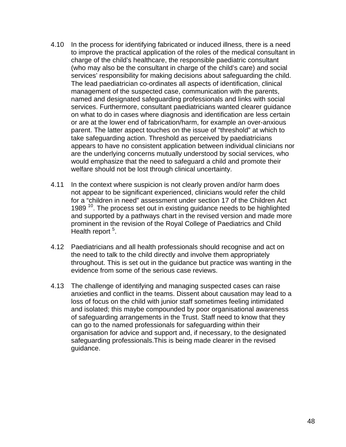- 4.10 In the process for identifying fabricated or induced illness, there is a need to improve the practical application of the roles of the medical consultant in charge of the child's healthcare, the responsible paediatric consultant (who may also be the consultant in charge of the child's care) and social services' responsibility for making decisions about safeguarding the child. The lead paediatrician co-ordinates all aspects of identification, clinical management of the suspected case, communication with the parents, named and designated safeguarding professionals and links with social services. Furthermore, consultant paediatricians wanted clearer guidance on what to do in cases where diagnosis and identification are less certain or are at the lower end of fabrication/harm, for example an over-anxious parent. The latter aspect touches on the issue of "threshold" at which to take safeguarding action. Threshold as perceived by paediatricians appears to have no consistent application between individual clinicians nor are the underlying concerns mutually understood by social services, who would emphasize that the need to safeguard a child and promote their welfare should not be lost through clinical uncertainty.
- 4.11 In the context where suspicion is not clearly proven and/or harm does not appear to be significant experienced, clinicians would refer the child for a "children in need" assessment under section 17 of the Children Act 1989<sup>10</sup>. The process set out in existing guidance needs to be highlighted and supported by a pathways chart in the revised version and made more prominent in the revision of the Royal College of Paediatrics and Child .<br>Health report <sup>5</sup>.
- 4.12 Paediatricians and all health professionals should recognise and act on the need to talk to the child directly and involve them appropriately throughout. This is set out in the guidance but practice was wanting in the evidence from some of the serious case reviews.
- 4.13 The challenge of identifying and managing suspected cases can raise anxieties and conflict in the teams. Dissent about causation may lead to a loss of focus on the child with junior staff sometimes feeling intimidated and isolated; this maybe compounded by poor organisational awareness of safeguarding arrangements in the Trust. Staff need to know that they can go to the named professionals for safeguarding within their organisation for advice and support and, if necessary, to the designated safeguarding professionals.This is being made clearer in the revised guidance.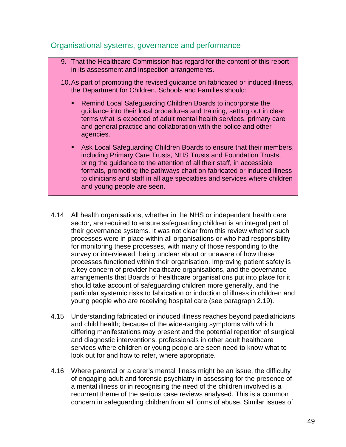#### Organisational systems, governance and performance

- 9. That the Healthcare Commission has regard for the content of this report in its assessment and inspection arrangements.
- 10. As part of promoting the revised guidance on fabricated or induced illness, the Department for Children, Schools and Families should:
	- Remind Local Safeguarding Children Boards to incorporate the guidance into their local procedures and training, setting out in clear terms what is expected of adult mental health services, primary care and general practice and collaboration with the police and other agencies.
	- Ask Local Safeguarding Children Boards to ensure that their members, including Primary Care Trusts, NHS Trusts and Foundation Trusts, bring the guidance to the attention of all their staff, in accessible formats, promoting the pathways chart on fabricated or induced illness to clinicians and staff in all age specialties and services where children and young people are seen.
- 4.14 All health organisations, whether in the NHS or independent health care sector, are required to ensure safeguarding children is an integral part of their governance systems. It was not clear from this review whether such processes were in place within all organisations or who had responsibility for monitoring these processes, with many of those responding to the survey or interviewed, being unclear about or unaware of how these processes functioned within their organisation. Improving patient safety is a key concern of provider healthcare organisations, and the governance arrangements that Boards of healthcare organisations put into place for it should take account of safeguarding children more generally, and the particular systemic risks to fabrication or induction of illness in children and young people who are receiving hospital care (see paragraph 2.19).
- 4.15 Understanding fabricated or induced illness reaches beyond paediatricians and child health; because of the wide-ranging symptoms with which differing manifestations may present and the potential repetition of surgical and diagnostic interventions, professionals in other adult healthcare services where children or young people are seen need to know what to look out for and how to refer, where appropriate.
- 4.16 Where parental or a carer's mental illness might be an issue, the difficulty of engaging adult and forensic psychiatry in assessing for the presence of a mental illness or in recognising the need of the children involved is a recurrent theme of the serious case reviews analysed. This is a common concern in safeguarding children from all forms of abuse. Similar issues of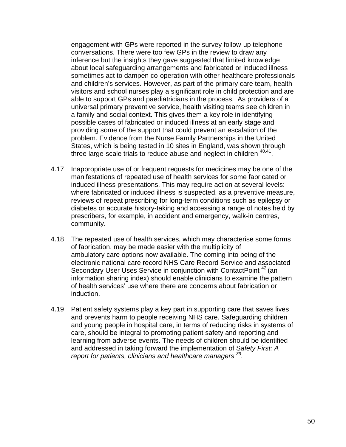engagement with GPs were reported in the survey follow-up telephone conversations. There were too few GPs in the review to draw any inference but the insights they gave suggested that limited knowledge about local safeguarding arrangements and fabricated or induced illness sometimes act to dampen co-operation with other healthcare professionals and children's services. However, as part of the primary care team, health visitors and school nurses play a significant role in child protection and are able to support GPs and paediatricians in the process. As providers of a universal primary preventive service, health visiting teams see children in a family and social context. This gives them a key role in identifying possible cases of fabricated or induced illness at an early stage and providing some of the support that could prevent an escalation of the problem. Evidence from the Nurse Family Partnerships in the United States, which is being tested in 10 sites in England, was shown through three large-scale trials to reduce abuse and neglect in children  $40,41$ .

- 4.17 Inappropriate use of or frequent requests for medicines may be one of the manifestations of repeated use of health services for some fabricated or induced illness presentations. This may require action at several levels: where fabricated or induced illness is suspected, as a preventive measure, reviews of repeat prescribing for long-term conditions such as epilepsy or diabetes or accurate history-taking and accessing a range of notes held by prescribers, for example, in accident and emergency, walk-in centres, community.
- 4.18 The repeated use of health services, which may characterise some forms of fabrication, may be made easier with the multiplicity of ambulatory care options now available. The coming into being of the electronic national care record NHS Care Record Service and associated Secondary User Uses Service in conjunction with ContactPoint<sup>42</sup> (an information sharing index) should enable clinicians to examine the pattern of health services' use where there are concerns about fabrication or induction.
- 4.19 Patient safety systems play a key part in supporting care that saves lives and prevents harm to people receiving NHS care. Safeguarding children and young people in hospital care, in terms of reducing risks in systems of care, should be integral to promoting patient safety and reporting and learning from adverse events. The needs of children should be identified and addressed in taking forward the implementation of S*afety First: A report for patients, clinicians and healthcare managers 39.*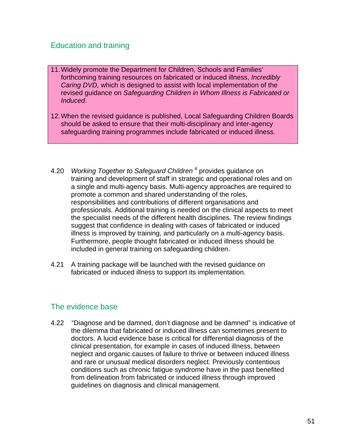## Education and training

- 11. Widely promote the Department for Children, Schools and Families' forthcoming training resources on fabricated or induced illness, *Incredibly Caring DVD,* which is designed to assist with local implementation of the revised guidance on *Safeguarding Children in Whom Illness is Fabricated or Induced*.
- 12. When the revised guidance is published, Local Safeguarding Children Boards should be asked to ensure that their multi-disciplinary and inter-agency safeguarding training programmes include fabricated or induced illness.
- 4.20 *Working Together to Safeguard Children* <sup>4</sup> provides guidance on training and development of staff in strategic and operational roles and on a single and multi-agency basis. Multi-agency approaches are required to promote a common and shared understanding of the roles, responsibilities and contributions of different organisations and professionals. Additional training is needed on the clinical aspects to meet the specialist needs of the different health disciplines. The review findings suggest that confidence in dealing with cases of fabricated or induced illness is improved by training, and particularly on a multi-agency basis. Furthermore, people thought fabricated or induced illness should be included in general training on safeguarding children.
- 4.21 A training package will be launched with the revised guidance on fabricated or induced illness to support its implementation.

### The evidence base

4.22 "Diagnose and be damned, don't diagnose and be damned" is indicative of the dilemma that fabricated or induced illness can sometimes present to doctors. A lucid evidence base is critical for differential diagnosis of the clinical presentation, for example in cases of induced illness, between neglect and organic causes of failure to thrive or between induced illness and rare or unusual medical disorders neglect. Previously contentious conditions such as chronic fatigue syndrome have in the past benefited from delineation from fabricated or induced illness through improved guidelines on diagnosis and clinical management.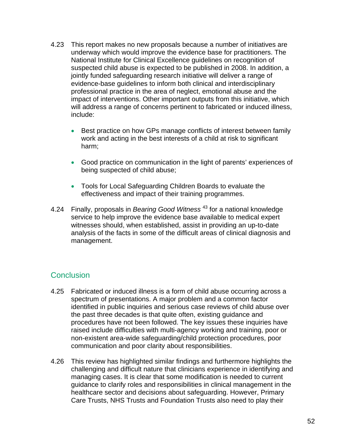- 4.23 This report makes no new proposals because a number of initiatives are underway which would improve the evidence base for practitioners. The National Institute for Clinical Excellence guidelines on recognition of suspected child abuse is expected to be published in 2008. In addition, a jointly funded safeguarding research initiative will deliver a range of evidence-base guidelines to inform both clinical and interdisciplinary professional practice in the area of neglect, emotional abuse and the impact of interventions. Other important outputs from this initiative, which will address a range of concerns pertinent to fabricated or induced illness, include:
	- Best practice on how GPs manage conflicts of interest between family work and acting in the best interests of a child at risk to significant harm;
	- Good practice on communication in the light of parents' experiences of being suspected of child abuse;
	- Tools for Local Safeguarding Children Boards to evaluate the effectiveness and impact of their training programmes.
- 4.24 Finally, proposals in *Bearing Good Witness* <sup>43</sup> for a national knowledge service to help improve the evidence base available to medical expert witnesses should, when established, assist in providing an up-to-date analysis of the facts in some of the difficult areas of clinical diagnosis and management.

## **Conclusion**

- 4.25 Fabricated or induced illness is a form of child abuse occurring across a spectrum of presentations. A major problem and a common factor identified in public inquiries and serious case reviews of child abuse over the past three decades is that quite often, existing guidance and procedures have not been followed. The key issues these inquiries have raised include difficulties with multi-agency working and training, poor or non-existent area-wide safeguarding/child protection procedures, poor communication and poor clarity about responsibilities.
- 4.26 This review has highlighted similar findings and furthermore highlights the challenging and difficult nature that clinicians experience in identifying and managing cases. It is clear that some modification is needed to current guidance to clarify roles and responsibilities in clinical management in the healthcare sector and decisions about safeguarding. However, Primary Care Trusts, NHS Trusts and Foundation Trusts also need to play their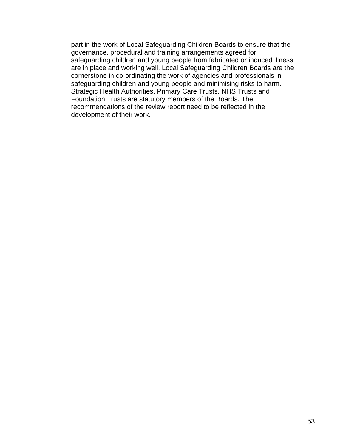part in the work of Local Safeguarding Children Boards to ensure that the governance, procedural and training arrangements agreed for safeguarding children and young people from fabricated or induced illness are in place and working well. Local Safeguarding Children Boards are the cornerstone in co-ordinating the work of agencies and professionals in safeguarding children and young people and minimising risks to harm. Strategic Health Authorities, Primary Care Trusts, NHS Trusts and Foundation Trusts are statutory members of the Boards. The recommendations of the review report need to be reflected in the development of their work.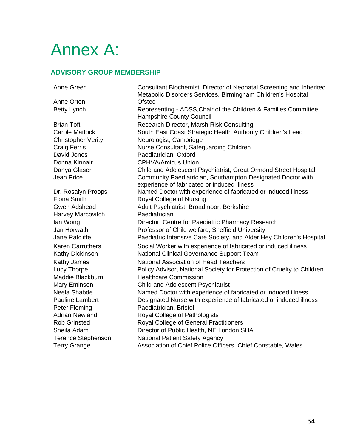# Annex A:

#### **ADVISORY GROUP MEMBERSHIP**

Anne Green Consultant Biochemist, Director of Neonatal Screening and Inherited

Anne Orton **Ofsted** Betty Lynch **Representing - ADSS, Chair of the Children & Families Committee,** 

Hampshire County Council Brian Toft Research Director, Marsh Risk Consulting Carole Mattock **South East Coast Strategic Health Authority Children's Lead** Christopher Verity Neurologist, Cambridge Craig Ferris Nurse Consultant, Safeguarding Children David Jones Paediatrician, Oxford Donna Kinnair CPHVA/Amicus Union Danya Glaser Child and Adolescent Psychiatrist, Great Ormond Street Hospital Jean Price Community Paediatrician, Southampton Designated Doctor with experience of fabricated or induced illness Dr. Rosalyn Proops Named Doctor with experience of fabricated or induced illness Fiona Smith Royal College of Nursing Gwen Adshead Adult Psychiatrist, Broadmoor, Berkshire Harvey Marcovitch Paediatrician Ian Wong **Director, Centre for Paediatric Pharmacy Research** Jan Horwath Professor of Child welfare, Sheffield University Jane Ratcliffe Paediatric Intensive Care Society, and Alder Hey Children's Hospital Karen Carruthers Social Worker with experience of fabricated or induced illness Kathy Dickinson **National Clinical Governance Support Team** Kathy James National Association of Head Teachers Lucy Thorpe Policy Advisor, National Society for Protection of Cruelty to Children Maddie Blackburn Healthcare Commission Mary Eminson Child and Adolescent Psychiatrist Neela Shabde Named Doctor with experience of fabricated or induced illness Pauline Lambert Designated Nurse with experience of fabricated or induced illness Peter Fleming Paediatrician, Bristol Adrian Newland **Royal College of Pathologists** Rob Grinsted **Royal College of General Practitioners** Sheila Adam Director of Public Health, NE London SHA Terence Stephenson National Patient Safety Agency Terry Grange **Association of Chief Police Officers, Chief Constable, Wales** 

Metabolic Disorders Services, Birmingham Children's Hospital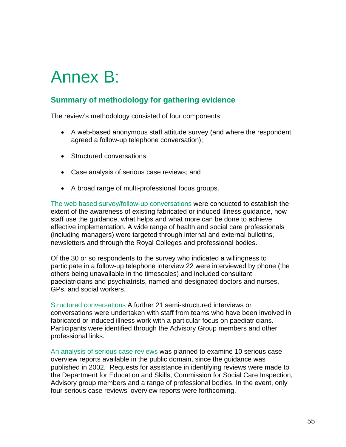# Annex B:

# **Summary of methodology for gathering evidence**

The review's methodology consisted of four components:

- A web-based anonymous staff attitude survey (and where the respondent agreed a follow-up telephone conversation);
- Structured conversations:
- Case analysis of serious case reviews; and
- A broad range of multi-professional focus groups.

The web based survey/follow-up conversations were conducted to establish the extent of the awareness of existing fabricated or induced illness guidance, how staff use the guidance, what helps and what more can be done to achieve effective implementation. A wide range of health and social care professionals (including managers) were targeted through internal and external bulletins, newsletters and through the Royal Colleges and professional bodies.

Of the 30 or so respondents to the survey who indicated a willingness to participate in a follow-up telephone interview 22 were interviewed by phone (the others being unavailable in the timescales) and included consultant paediatricians and psychiatrists, named and designated doctors and nurses, GPs, and social workers.

Structured conversations A further 21 semi-structured interviews or conversations were undertaken with staff from teams who have been involved in fabricated or induced illness work with a particular focus on paediatricians. Participants were identified through the Advisory Group members and other professional links.

An analysis of serious case reviews was planned to examine 10 serious case overview reports available in the public domain, since the guidance was published in 2002. Requests for assistance in identifying reviews were made to the Department for Education and Skills, Commission for Social Care Inspection, Advisory group members and a range of professional bodies. In the event, only four serious case reviews' overview reports were forthcoming.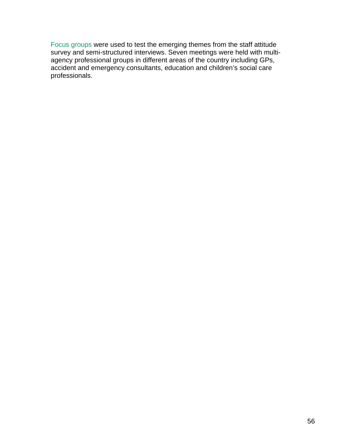Focus groups were used to test the emerging themes from the staff attitude survey and semi-structured interviews. Seven meetings were held with multiagency professional groups in different areas of the country including GPs, accident and emergency consultants, education and children's social care professionals.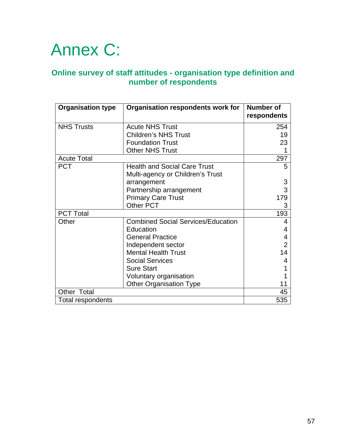# Annex C:

### **Online survey of staff attitudes - organisation type definition and number of respondents**

| <b>Organisation type</b> | Organisation respondents work for         | <b>Number of</b><br>respondents |
|--------------------------|-------------------------------------------|---------------------------------|
| <b>NHS Trusts</b>        | <b>Acute NHS Trust</b>                    | 254                             |
|                          | <b>Children's NHS Trust</b>               | 19                              |
|                          | <b>Foundation Trust</b>                   | 23                              |
|                          | <b>Other NHS Trust</b>                    |                                 |
| <b>Acute Total</b>       |                                           | 297                             |
| <b>PCT</b>               | <b>Health and Social Care Trust</b>       | 5                               |
|                          | Multi-agency or Children's Trust          |                                 |
|                          | arrangement                               | 3                               |
|                          | Partnership arrangement                   | 3                               |
|                          | <b>Primary Care Trust</b>                 | 179                             |
|                          | Other PCT                                 | 3                               |
| <b>PCT Total</b>         |                                           | 193                             |
| Other                    | <b>Combined Social Services/Education</b> | 4                               |
|                          | Education                                 | 4                               |
|                          | <b>General Practice</b>                   | 4                               |
|                          | Independent sector                        | $\overline{2}$                  |
|                          | <b>Mental Health Trust</b>                | 14                              |
|                          | <b>Social Services</b>                    | 4                               |
|                          | <b>Sure Start</b>                         |                                 |
|                          | Voluntary organisation                    |                                 |
|                          | <b>Other Organisation Type</b>            |                                 |
| Other Total              |                                           | 45                              |
| Total respondents        |                                           | 535                             |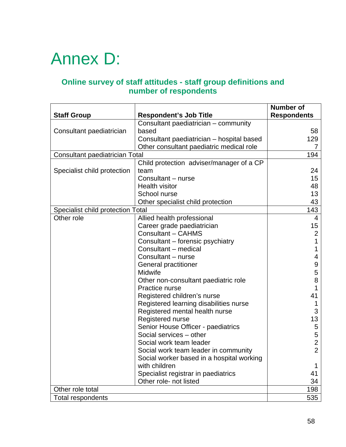# Annex D:

# **Online survey of staff attitudes - staff group definitions and number of respondents**

| <b>Staff Group</b>                | <b>Respondent's Job Title</b>             | <b>Number of</b><br><b>Respondents</b> |
|-----------------------------------|-------------------------------------------|----------------------------------------|
|                                   | Consultant paediatrician - community      |                                        |
| Consultant paediatrician          | based                                     | 58                                     |
|                                   | Consultant paediatrician - hospital based | 129                                    |
|                                   | Other consultant paediatric medical role  | 7                                      |
| Consultant paediatrician Total    |                                           | 194                                    |
|                                   | Child protection adviser/manager of a CP  |                                        |
| Specialist child protection       | team                                      | 24                                     |
|                                   | Consultant - nurse                        | 15                                     |
|                                   | <b>Health visitor</b>                     | 48                                     |
|                                   | School nurse                              | 13                                     |
|                                   | Other specialist child protection         | 43                                     |
| Specialist child protection Total |                                           | 143                                    |
| Other role                        | Allied health professional                | 4                                      |
|                                   | Career grade paediatrician                | 15                                     |
|                                   | <b>Consultant - CAHMS</b>                 | $\overline{2}$                         |
|                                   | Consultant – forensic psychiatry          | 1                                      |
|                                   | Consultant - medical                      | 1                                      |
|                                   | Consultant - nurse                        | 4                                      |
|                                   | General practitioner                      | 9                                      |
|                                   | Midwife                                   | 5                                      |
|                                   | Other non-consultant paediatric role      | 8                                      |
|                                   | Practice nurse                            | 1                                      |
|                                   | Registered children's nurse               | 41                                     |
|                                   | Registered learning disabilities nurse    |                                        |
|                                   | Registered mental health nurse            | 3                                      |
|                                   | Registered nurse                          | 13                                     |
|                                   | Senior House Officer - paediatrics        | 5                                      |
|                                   | Social services - other                   | 5                                      |
|                                   | Social work team leader                   | $\overline{c}$                         |
|                                   | Social work team leader in community      | $\overline{2}$                         |
|                                   | Social worker based in a hospital working |                                        |
|                                   | with children                             | 1                                      |
|                                   | Specialist registrar in paediatrics       | 41                                     |
|                                   | Other role- not listed                    | 34                                     |
| Other role total                  | 198                                       |                                        |
| <b>Total respondents</b>          |                                           | 535                                    |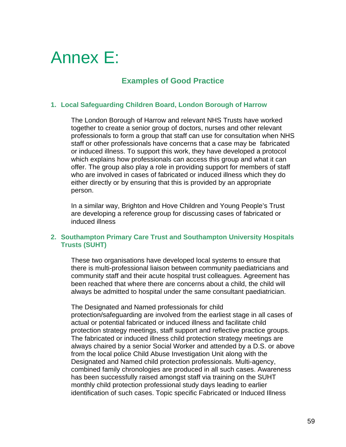# Annex E:

# **Examples of Good Practice**

#### **1. Local Safeguarding Children Board, London Borough of Harrow**

The London Borough of Harrow and relevant NHS Trusts have worked together to create a senior group of doctors, nurses and other relevant professionals to form a group that staff can use for consultation when NHS staff or other professionals have concerns that a case may be fabricated or induced illness. To support this work, they have developed a protocol which explains how professionals can access this group and what it can offer. The group also play a role in providing support for members of staff who are involved in cases of fabricated or induced illness which they do either directly or by ensuring that this is provided by an appropriate person.

In a similar way, Brighton and Hove Children and Young People's Trust are developing a reference group for discussing cases of fabricated or induced illness

#### **2. Southampton Primary Care Trust and Southampton University Hospitals Trusts (SUHT)**

These two organisations have developed local systems to ensure that there is multi-professional liaison between community paediatricians and community staff and their acute hospital trust colleagues. Agreement has been reached that where there are concerns about a child, the child will always be admitted to hospital under the same consultant paediatrician.

The Designated and Named professionals for child protection/safeguarding are involved from the earliest stage in all cases of actual or potential fabricated or induced illness and facilitate child protection strategy meetings, staff support and reflective practice groups. The fabricated or induced illness child protection strategy meetings are always chaired by a senior Social Worker and attended by a D.S. or above from the local police Child Abuse Investigation Unit along with the Designated and Named child protection professionals. Multi-agency, combined family chronologies are produced in all such cases. Awareness has been successfully raised amongst staff via training on the SUHT monthly child protection professional study days leading to earlier identification of such cases. Topic specific Fabricated or Induced Illness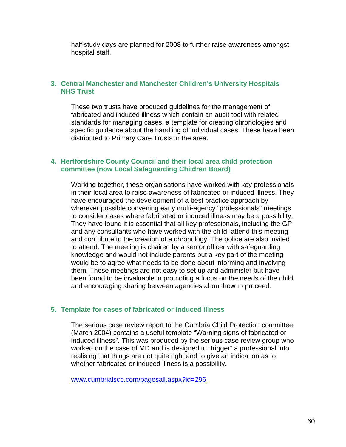half study days are planned for 2008 to further raise awareness amongst hospital staff.

#### **3. Central Manchester and Manchester Children's University Hospitals NHS Trust**

These two trusts have produced guidelines for the management of fabricated and induced illness which contain an audit tool with related standards for managing cases, a template for creating chronologies and specific guidance about the handling of individual cases. These have been distributed to Primary Care Trusts in the area.

#### **4. Hertfordshire County Council and their local area child protection committee (now Local Safeguarding Children Board)**

Working together, these organisations have worked with key professionals in their local area to raise awareness of fabricated or induced illness. They have encouraged the development of a best practice approach by wherever possible convening early multi-agency "professionals" meetings to consider cases where fabricated or induced illness may be a possibility. They have found it is essential that all key professionals, including the GP and any consultants who have worked with the child, attend this meeting and contribute to the creation of a chronology. The police are also invited to attend. The meeting is chaired by a senior officer with safeguarding knowledge and would not include parents but a key part of the meeting would be to agree what needs to be done about informing and involving them. These meetings are not easy to set up and administer but have been found to be invaluable in promoting a focus on the needs of the child and encouraging sharing between agencies about how to proceed.

#### **5. Template for cases of fabricated or induced illness**

The serious case review report to the Cumbria Child Protection committee (March 2004) contains a useful template "Warning signs of fabricated or induced illness". This was produced by the serious case review group who worked on the case of MD and is designed to "trigger" a professional into realising that things are not quite right and to give an indication as to whether fabricated or induced illness is a possibility.

[www.cumbrialscb.com/pagesall.aspx?id=296](http://www.cumbrialscb.com/pagesall.aspx?id=296)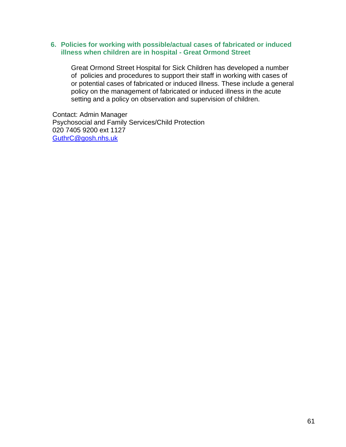#### **6. Policies for working with possible/actual cases of fabricated or induced illness when children are in hospital - Great Ormond Street**

Great Ormond Street Hospital for Sick Children has developed a number of policies and procedures to support their staff in working with cases of or potential cases of fabricated or induced illness. These include a general policy on the management of fabricated or induced illness in the acute setting and a policy on observation and supervision of children.

Contact: Admin Manager Psychosocial and Family Services/Child Protection 020 7405 9200 ext 1127 [GuthrC@gosh.nhs.uk](mailto:GuthrC@gosh.nhs.uk_)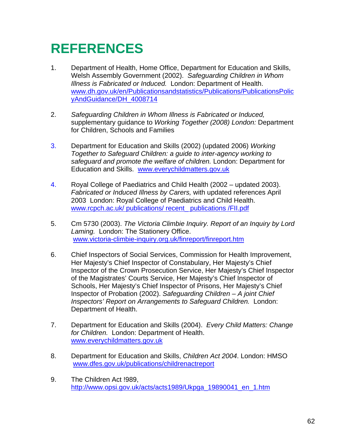# **REFERENCES**

- 1. Department of Health, Home Office, Department for Education and Skills, Welsh Assembly Government (2002). *Safeguarding Children in Whom Illness is Fabricated or Induced.* London: Department of Health. [www.dh.gov.uk/en/Publicationsandstatistics/Publications/PublicationsPolic](http://www.dh.gov.uk/en/Publicationsandstatistics/Publications/PublicationsPolicyAndGuidance/DH_4008714) [yAndGuidance/DH\\_4008714](http://www.dh.gov.uk/en/Publicationsandstatistics/Publications/PublicationsPolicyAndGuidance/DH_4008714)
- 2. *Safeguarding Children in Whom Illness is Fabricated or Induced,*  supplementary guidance to *Working Together (2008) London:* Department for Children, Schools and Families
- 3. Department for Education and Skills (2002) (updated 2006) *Working Together to Safeguard Children: a guide to inter-agency working to safeguard and promote the welfare of children.* London: Department for Education and Skills. [www.everychildmatters.gov.uk](http://www.everychildmatters.gov.uk/)
- 4. Royal College of Paediatrics and Child Health (2002 updated 2003). *Fabricated or Induced Illness by Carers,* with updated references April 2003London: Royal College of Paediatrics and Child Health. [www.rcpch.ac.uk/ publications/ recent\\_ publications /FII.pdf](http://www.everychildmatters.gov.uk/)
- 5. Cm 5730 (2003). *The Victoria Climbie Inquiry. Report of an Inquiry by Lord Laming.* London: The Stationery Office. [www.victoria-climbie-inquiry.org.uk/finreport/finreport.htm](http://www.victoria-climbie-inquiry.org.uk/finreport/finreport.htm)
- 6. Chief Inspectors of Social Services, Commission for Health Improvement, Her Majesty's Chief Inspector of Constabulary, Her Majesty's Chief Inspector of the Crown Prosecution Service, Her Majesty's Chief Inspector of the Magistrates' Courts Service, Her Majesty's Chief Inspector of Schools, Her Majesty's Chief Inspector of Prisons, Her Majesty's Chief Inspector of Probation (2002). *Safeguarding Children – A joint Chief Inspectors' Report on Arrangements to Safeguard Children.* London: Department of Health.
- 7. Department for Education and Skills (2004). *Every Child Matters: Change for Children.* London: Department of Health. [www.everychildmatters.gov.uk](http://www.everychildmatters.gov.uk/)
- 8. Department for Education and Skills, *Children Act 2004*. London: HMSO [www.dfes.gov.uk/publications/childrenactreport](http://www.dfes.gov.uk/publications/childrenactreport)
- 9. The Children Act !989, [http://www.opsi.gov.uk/acts/acts1989/Ukpga\\_19890041\\_en\\_1.htm](http://www.opsi.gov.uk/acts/acts1989/Ukpga_19890041_en_1.htm)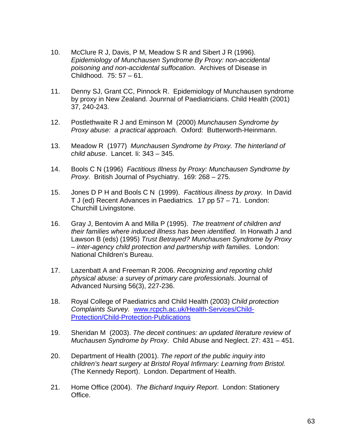- 10. McClure R J, Davis, P M, Meadow S R and Sibert J R (1996). *Epidemiology of Munchausen Syndrome By Proxy: non-accidental poisoning and non-accidental suffocation*. Archives of Disease in Childhood. 75: 57 – 61.
- 11. Denny SJ, Grant CC, Pinnock R. Epidemiology of Munchausen syndrome by proxy in New Zealand. Jounrnal of Paediatricians. Child Health (2001) 37, 240-243.
- 12. Postlethwaite R J and Eminson M (2000) *Munchausen Syndrome by Proxy abuse: a practical approach.* Oxford: Butterworth-Heinmann.
- 13. Meadow R (1977) *Munchausen Syndrome by Proxy. The hinterland of child abuse*. Lancet. Ii: 343 – 345.
- 14. Bools C N (1996) *Factitious Illness by Proxy: Munchausen Syndrome by Proxy*. British Journal of Psychiatry. 169: 268 – 275.
- 15. Jones D P H and Bools C N (1999). *Factitious illness by proxy.* In David T J (ed) Recent Advances in Paediatrics*.* 17 pp 57 – 71. London: Churchill Livingstone.
- 16. Gray J, Bentovim A and Milla P (1995). *The treatment of children and their families where induced illness has been identified.* In Horwath J and Lawson B (eds) (1995) *Trust Betrayed? Munchausen Syndrome by Proxy – inter-agency child protection and partnership with families.* London: National Children's Bureau.
- 17. Lazenbatt A and Freeman R 2006. *Recognizing and reporting child physical abuse: a survey of primary care professionals*. Journal of Advanced Nursing 56(3), 227-236.
- 18. Royal College of Paediatrics and Child Health (2003) *Child protection Complaints Survey.* www.rcpch.ac.uk/Health-Services/Child-Protection/Child-Protection-Publications
- 19. Sheridan M (2003). *The deceit continues: an updated literature review of Muchausen Syndrome by Proxy*. Child Abuse and Neglect. 27: 431 – 451.
- 20. Department of Health (2001). *The report of the public inquiry into children's heart surgery at Bristol Royal Infirmary: Learning from Bristol.*  (The Kennedy Report). London. Department of Health.
- 21. Home Office (2004). *The Bichard Inquiry Report*. London: Stationery Office.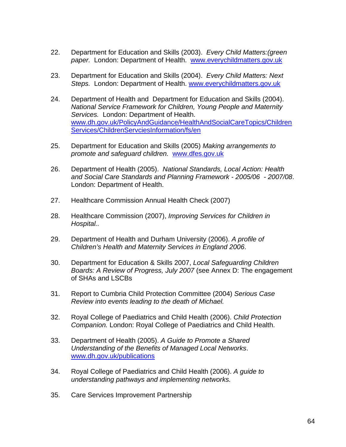- 22. Department for Education and Skills (2003). *Every Child Matters:(green paper.* London: Department of Health. [www.everychildmatters.gov.uk](http://www.everychildmatters.gov.uk/)
- 23. Department for Education and Skills (2004). *Every Child Matters: Next Steps.* London: Department of Health. [www.everychildmatters.gov.uk](http://www.everychildmatters.gov.uk/)
- 24. Department of Health and Department for Education and Skills (2004). *National Service Framework for Children, Young People and Maternity Services.* London: Department of Health. [www.dh.gov.uk/PolicyAndGuidance/HealthAndSocialCareTopics/Children](http://www.dh.gov.uk/en/Healthcare/NationalServiceFrameworks/ChildrenServices/Childrenservicesinformation/DH_4089111) [Services/ChildrenServciesInformation/fs/en](http://www.dh.gov.uk/en/Healthcare/NationalServiceFrameworks/ChildrenServices/Childrenservicesinformation/DH_4089111)
- 25. Department for Education and Skills (2005) *Making arrangements to promote and safeguard children.* [www.dfes.gov.uk](http://www.dfes.gov.uk/)
- 26. Department of Health (2005). *National Standards, Local Action: Health and Social Care Standards and Planning Framework - 2005/06 - 2007/08*. London: Department of Health.
- 27. Healthcare Commission Annual Health Check (2007)
- 28. Healthcare Commission (2007), *Improving Services for Children in Hospital..*
- 29. Department of Health and Durham University (2006). *A profile of Children's Health and Maternity Services in England 2006*.
- 30. Department for Education & Skills 2007, *Local Safeguarding Children Boards: A Review of Progress, July 2007* (see Annex D: The engagement of SHAs and LSCBs
- 31. Report to Cumbria Child Protection Committee (2004) *Serious Case Review into events leading to the death of Michael.*
- 32. Royal College of Paediatrics and Child Health (2006). *Child Protection Companion.* London: Royal College of Paediatrics and Child Health.
- 33. Department of Health (2005). *A Guide to Promote a Shared Understanding of the Benefits of Managed Local Networks*. www.dh.gov.uk/publications
- 34. Royal College of Paediatrics and Child Health (2006). *A guide to understanding pathways and implementing networks.*
- 35. Care Services Improvement Partnership